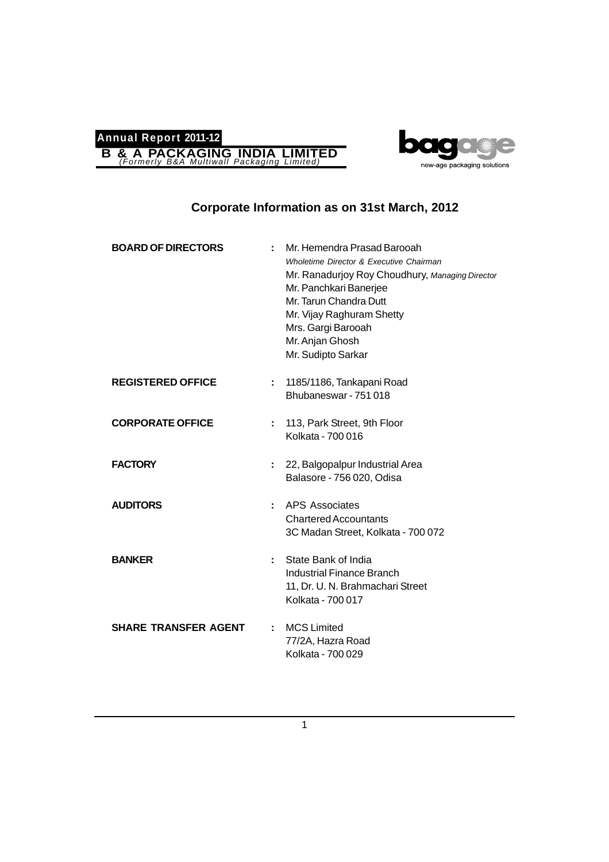



## **Corporate Information as on 31st March, 2012**

| <b>BOARD OF DIRECTORS</b>   |    | Mr. Hemendra Prasad Barooah<br>Wholetime Director & Executive Chairman<br>Mr. Ranadurjoy Roy Choudhury, Managing Director<br>Mr. Panchkari Banerjee<br>Mr. Tarun Chandra Dutt<br>Mr. Vijay Raghuram Shetty<br>Mrs. Gargi Barooah<br>Mr. Anjan Ghosh<br>Mr. Sudipto Sarkar |
|-----------------------------|----|---------------------------------------------------------------------------------------------------------------------------------------------------------------------------------------------------------------------------------------------------------------------------|
| <b>REGISTERED OFFICE</b>    | ÷. | 1185/1186, Tankapani Road<br>Bhubaneswar - 751 018                                                                                                                                                                                                                        |
| <b>CORPORATE OFFICE</b>     | ÷. | 113, Park Street, 9th Floor<br>Kolkata - 700 016                                                                                                                                                                                                                          |
| <b>FACTORY</b>              |    | 22, Balgopalpur Industrial Area<br>Balasore - 756 020, Odisa                                                                                                                                                                                                              |
| <b>AUDITORS</b>             | ÷. | <b>APS Associates</b><br><b>Chartered Accountants</b><br>3C Madan Street, Kolkata - 700 072                                                                                                                                                                               |
| <b>BANKER</b>               |    | State Bank of India<br><b>Industrial Finance Branch</b><br>11, Dr. U. N. Brahmachari Street<br>Kolkata - 700 017                                                                                                                                                          |
| <b>SHARE TRANSFER AGENT</b> |    | <b>MCS Limited</b><br>77/2A, Hazra Road<br>Kolkata - 700 029                                                                                                                                                                                                              |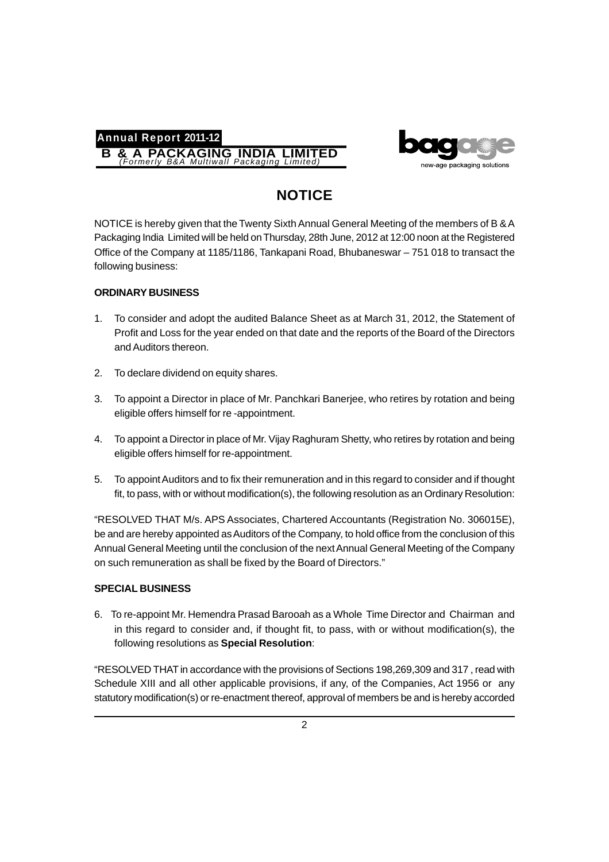



# **NOTICE**

NOTICE is hereby given that the Twenty Sixth Annual General Meeting of the members of B & A Packaging India Limited will be held on Thursday, 28th June, 2012 at 12:00 noon at the Registered Office of the Company at 1185/1186, Tankapani Road, Bhubaneswar – 751 018 to transact the following business:

## **ORDINARY BUSINESS**

- 1. To consider and adopt the audited Balance Sheet as at March 31, 2012, the Statement of Profit and Loss for the year ended on that date and the reports of the Board of the Directors and Auditors thereon.
- 2. To declare dividend on equity shares.
- 3. To appoint a Director in place of Mr. Panchkari Banerjee, who retires by rotation and being eligible offers himself for re -appointment.
- 4. To appoint a Director in place of Mr. Vijay Raghuram Shetty, who retires by rotation and being eligible offers himself for re-appointment.
- 5. To appoint Auditors and to fix their remuneration and in this regard to consider and if thought fit, to pass, with or without modification(s), the following resolution as an Ordinary Resolution:

"RESOLVED THAT M/s. APS Associates, Chartered Accountants (Registration No. 306015E), be and are hereby appointed as Auditors of the Company, to hold office from the conclusion of this Annual General Meeting until the conclusion of the next Annual General Meeting of the Company on such remuneration as shall be fixed by the Board of Directors."

## **SPECIAL BUSINESS**

6. To re-appoint Mr. Hemendra Prasad Barooah as a Whole Time Director and Chairman and in this regard to consider and, if thought fit, to pass, with or without modification(s), the following resolutions as **Special Resolution**:

"RESOLVED THAT in accordance with the provisions of Sections 198,269,309 and 317 , read with Schedule XIII and all other applicable provisions, if any, of the Companies, Act 1956 or any statutory modification(s) or re-enactment thereof, approval of members be and is hereby accorded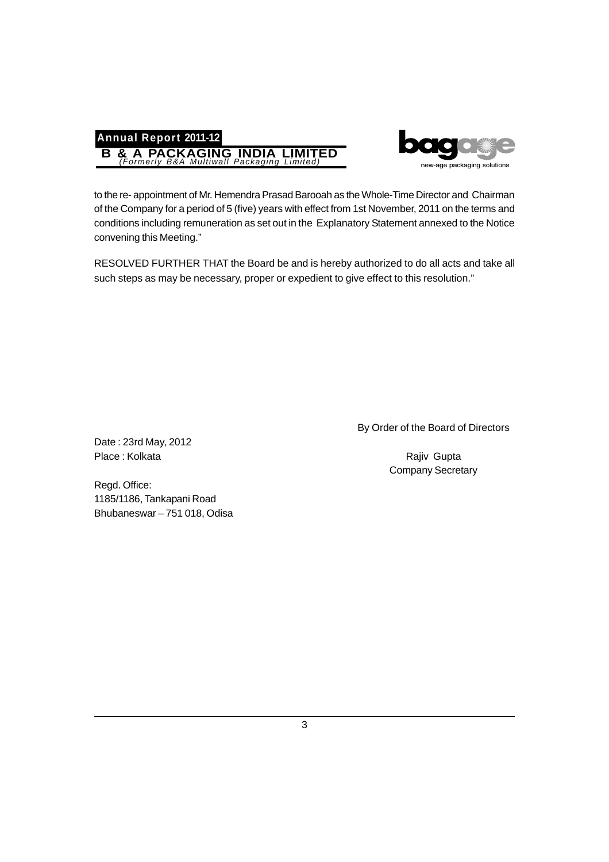



to the re- appointment of Mr. Hemendra Prasad Barooah as the Whole-Time Director and Chairman of the Company for a period of 5 (five) years with effect from 1st November, 2011 on the terms and conditions including remuneration as set out in the Explanatory Statement annexed to the Notice convening this Meeting."

RESOLVED FURTHER THAT the Board be and is hereby authorized to do all acts and take all such steps as may be necessary, proper or expedient to give effect to this resolution."

By Order of the Board of Directors

Company Secretary

Date : 23rd May, 2012 Place : Kolkata Rajiv Gupta

Regd. Office: 1185/1186, Tankapani Road Bhubaneswar – 751 018, Odisa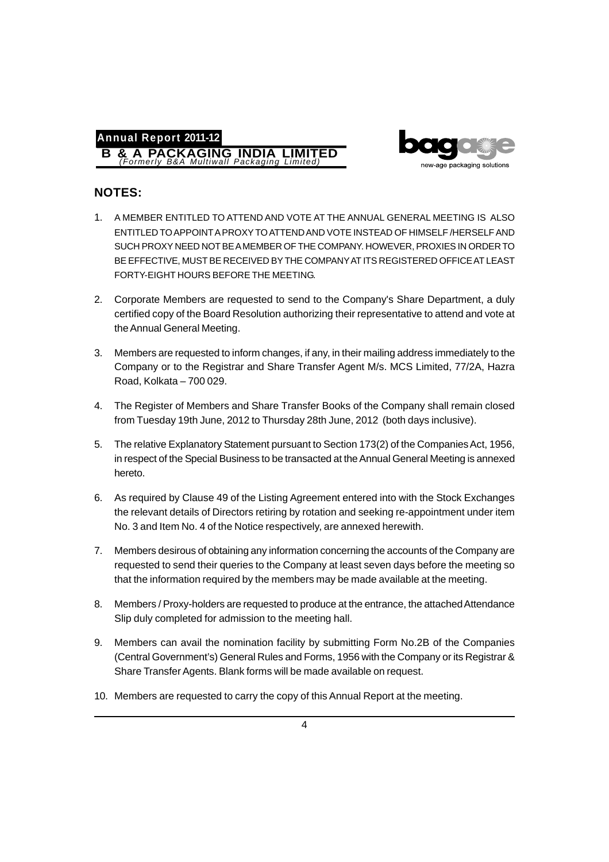



## **NOTES:**

- 1. A MEMBER ENTITLED TO ATTEND AND VOTE AT THE ANNUAL GENERAL MEETING IS ALSO ENTITLED TO APPOINT A PROXY TO ATTEND AND VOTE INSTEAD OF HIMSELF /HERSELF AND SUCH PROXY NEED NOT BE A MEMBER OF THE COMPANY. HOWEVER, PROXIES IN ORDER TO BE EFFECTIVE, MUST BE RECEIVED BY THE COMPANY AT ITS REGISTERED OFFICE AT LEAST FORTY-EIGHT HOURS BEFORE THE MEETING.
- 2. Corporate Members are requested to send to the Company's Share Department, a duly certified copy of the Board Resolution authorizing their representative to attend and vote at the Annual General Meeting.
- 3. Members are requested to inform changes, if any, in their mailing address immediately to the Company or to the Registrar and Share Transfer Agent M/s. MCS Limited, 77/2A, Hazra Road, Kolkata – 700 029.
- 4. The Register of Members and Share Transfer Books of the Company shall remain closed from Tuesday 19th June, 2012 to Thursday 28th June, 2012 (both days inclusive).
- 5. The relative Explanatory Statement pursuant to Section 173(2) of the Companies Act, 1956, in respect of the Special Business to be transacted at the Annual General Meeting is annexed hereto.
- 6. As required by Clause 49 of the Listing Agreement entered into with the Stock Exchanges the relevant details of Directors retiring by rotation and seeking re-appointment under item No. 3 and Item No. 4 of the Notice respectively, are annexed herewith.
- 7. Members desirous of obtaining any information concerning the accounts of the Company are requested to send their queries to the Company at least seven days before the meeting so that the information required by the members may be made available at the meeting.
- 8. Members / Proxy-holders are requested to produce at the entrance, the attached Attendance Slip duly completed for admission to the meeting hall.
- 9. Members can avail the nomination facility by submitting Form No.2B of the Companies (Central Government's) General Rules and Forms, 1956 with the Company or its Registrar & Share Transfer Agents. Blank forms will be made available on request.
- 10. Members are requested to carry the copy of this Annual Report at the meeting.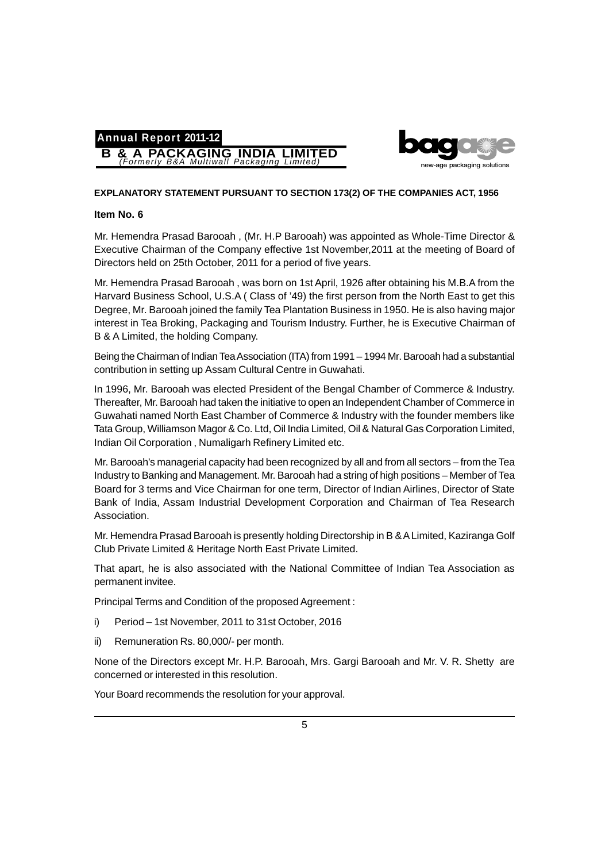



#### **EXPLANATORY STATEMENT PURSUANT TO SECTION 173(2) OF THE COMPANIES ACT, 1956**

#### **Item No. 6**

Mr. Hemendra Prasad Barooah , (Mr. H.P Barooah) was appointed as Whole-Time Director & Executive Chairman of the Company effective 1st November,2011 at the meeting of Board of Directors held on 25th October, 2011 for a period of five years.

Mr. Hemendra Prasad Barooah , was born on 1st April, 1926 after obtaining his M.B.A from the Harvard Business School, U.S.A ( Class of '49) the first person from the North East to get this Degree, Mr. Barooah joined the family Tea Plantation Business in 1950. He is also having major interest in Tea Broking, Packaging and Tourism Industry. Further, he is Executive Chairman of B & A Limited, the holding Company.

Being the Chairman of Indian Tea Association (ITA) from 1991 – 1994 Mr. Barooah had a substantial contribution in setting up Assam Cultural Centre in Guwahati.

In 1996, Mr. Barooah was elected President of the Bengal Chamber of Commerce & Industry. Thereafter, Mr. Barooah had taken the initiative to open an Independent Chamber of Commerce in Guwahati named North East Chamber of Commerce & Industry with the founder members like Tata Group, Williamson Magor & Co. Ltd, Oil India Limited, Oil & Natural Gas Corporation Limited, Indian Oil Corporation , Numaligarh Refinery Limited etc.

Mr. Barooah's managerial capacity had been recognized by all and from all sectors – from the Tea Industry to Banking and Management. Mr. Barooah had a string of high positions – Member of Tea Board for 3 terms and Vice Chairman for one term, Director of Indian Airlines, Director of State Bank of India, Assam Industrial Development Corporation and Chairman of Tea Research Association.

Mr. Hemendra Prasad Barooah is presently holding Directorship in B & A Limited, Kaziranga Golf Club Private Limited & Heritage North East Private Limited.

That apart, he is also associated with the National Committee of Indian Tea Association as permanent invitee.

Principal Terms and Condition of the proposed Agreement :

- i) Period 1st November, 2011 to 31st October, 2016
- ii) Remuneration Rs. 80,000/- per month.

None of the Directors except Mr. H.P. Barooah, Mrs. Gargi Barooah and Mr. V. R. Shetty are concerned or interested in this resolution.

Your Board recommends the resolution for your approval.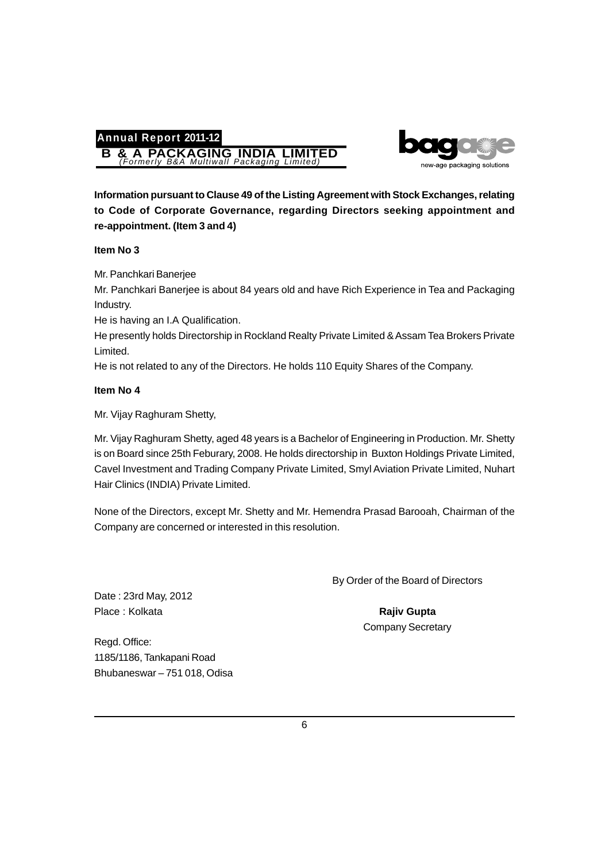# **Annual Report 2011-12 B & A PACKAGING INDIA LIMITED** *(Formerly B&A Multiwall Packaging Limited)*



**Information pursuant to Clause 49 of the Listing Agreement with Stock Exchanges, relating to Code of Corporate Governance, regarding Directors seeking appointment and re-appointment. (Item 3 and 4)**

## **Item No 3**

Mr. Panchkari Banerjee

Mr. Panchkari Banerjee is about 84 years old and have Rich Experience in Tea and Packaging Industry.

He is having an I.A Qualification.

He presently holds Directorship in Rockland Realty Private Limited & Assam Tea Brokers Private Limited.

He is not related to any of the Directors. He holds 110 Equity Shares of the Company.

## **Item No 4**

Mr. Vijay Raghuram Shetty,

Mr. Vijay Raghuram Shetty, aged 48 years is a Bachelor of Engineering in Production. Mr. Shetty is on Board since 25th Feburary, 2008. He holds directorship in Buxton Holdings Private Limited, Cavel Investment and Trading Company Private Limited, Smyl Aviation Private Limited, Nuhart Hair Clinics (INDIA) Private Limited.

None of the Directors, except Mr. Shetty and Mr. Hemendra Prasad Barooah, Chairman of the Company are concerned or interested in this resolution.

By Order of the Board of Directors

Company Secretary

Date : 23rd May, 2012 Place : Kolkata **Rajiv Gupta Rajiv Gupta Rajiv Gupta** 

Regd. Office: 1185/1186, Tankapani Road Bhubaneswar – 751 018, Odisa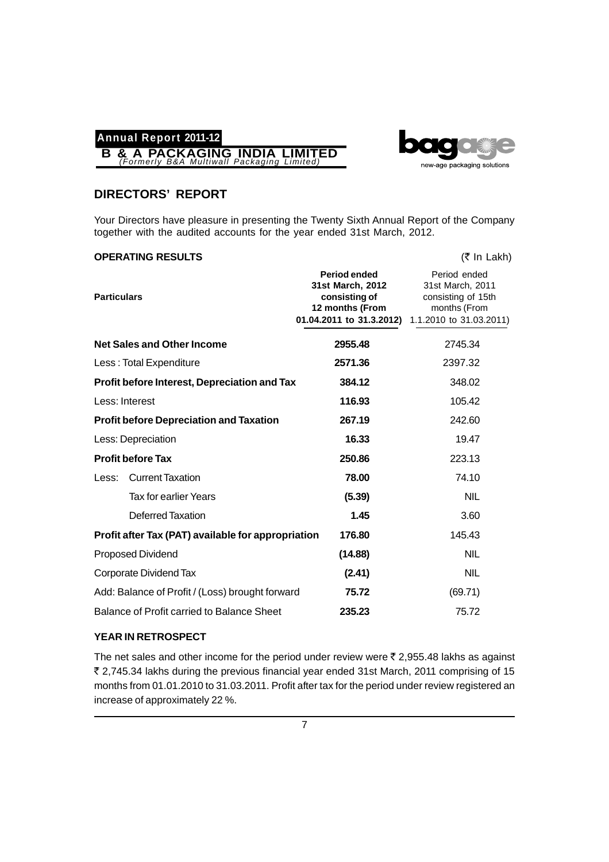



## **DIRECTORS' REPORT**

Your Directors have pleasure in presenting the Twenty Sixth Annual Report of the Company together with the audited accounts for the year ended 31st March, 2012.

### **OPERATING RESULTS** (₹ In Lakh)

| <b>Particulars</b> |                                                    | Period ended<br>31st March, 2012<br>consisting of<br>12 months (From<br>01.04.2011 to 31.3.2012) | Period ended<br>31st March, 2011<br>consisting of 15th<br>months (From<br>1.1.2010 to 31.03.2011) |
|--------------------|----------------------------------------------------|--------------------------------------------------------------------------------------------------|---------------------------------------------------------------------------------------------------|
|                    | <b>Net Sales and Other Income</b>                  | 2955.48                                                                                          | 2745.34                                                                                           |
|                    | Less: Total Expenditure                            | 2571.36                                                                                          | 2397.32                                                                                           |
|                    | Profit before Interest, Depreciation and Tax       | 384.12                                                                                           | 348.02                                                                                            |
|                    | Less: Interest                                     | 116.93                                                                                           | 105.42                                                                                            |
|                    | <b>Profit before Depreciation and Taxation</b>     | 267.19                                                                                           | 242.60                                                                                            |
|                    | Less: Depreciation                                 | 16.33                                                                                            | 19.47                                                                                             |
|                    | <b>Profit before Tax</b>                           | 250.86                                                                                           | 223.13                                                                                            |
| Less:              | <b>Current Taxation</b>                            | 78.00                                                                                            | 74.10                                                                                             |
|                    | Tax for earlier Years                              | (5.39)                                                                                           | <b>NIL</b>                                                                                        |
|                    | Deferred Taxation                                  | 1.45                                                                                             | 3.60                                                                                              |
|                    | Profit after Tax (PAT) available for appropriation | 176.80                                                                                           | 145.43                                                                                            |
|                    | Proposed Dividend                                  | (14.88)                                                                                          | <b>NIL</b>                                                                                        |
|                    | Corporate Dividend Tax                             | (2.41)                                                                                           | <b>NIL</b>                                                                                        |
|                    | Add: Balance of Profit / (Loss) brought forward    | 75.72                                                                                            | (69.71)                                                                                           |
|                    | Balance of Profit carried to Balance Sheet         | 235.23                                                                                           | 75.72                                                                                             |

## **YEAR IN RETROSPECT**

The net sales and other income for the period under review were  $\bar{\tau}$  2,955.48 lakhs as against ` 2,745.34 lakhs during the previous financial year ended 31st March, 2011 comprising of 15 months from 01.01.2010 to 31.03.2011. Profit after tax for the period under review registered an increase of approximately 22 %.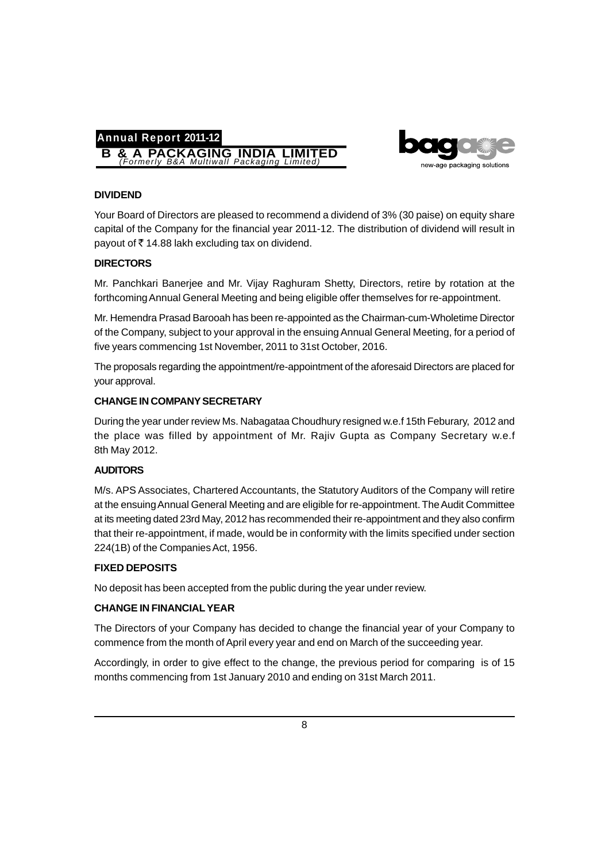



## **DIVIDEND**

Your Board of Directors are pleased to recommend a dividend of 3% (30 paise) on equity share capital of the Company for the financial year 2011-12. The distribution of dividend will result in payout of  $\bar{\tau}$  14.88 lakh excluding tax on dividend.

## **DIRECTORS**

Mr. Panchkari Banerjee and Mr. Vijay Raghuram Shetty, Directors, retire by rotation at the forthcoming Annual General Meeting and being eligible offer themselves for re-appointment.

Mr. Hemendra Prasad Barooah has been re-appointed as the Chairman-cum-Wholetime Director of the Company, subject to your approval in the ensuing Annual General Meeting, for a period of five years commencing 1st November, 2011 to 31st October, 2016.

The proposals regarding the appointment/re-appointment of the aforesaid Directors are placed for your approval.

## **CHANGE IN COMPANY SECRETARY**

During the year under review Ms. Nabagataa Choudhury resigned w.e.f 15th Feburary, 2012 and the place was filled by appointment of Mr. Rajiv Gupta as Company Secretary w.e.f 8th May 2012.

## **AUDITORS**

M/s. APS Associates, Chartered Accountants, the Statutory Auditors of the Company will retire at the ensuing Annual General Meeting and are eligible for re-appointment. The Audit Committee at its meeting dated 23rd May, 2012 has recommended their re-appointment and they also confirm that their re-appointment, if made, would be in conformity with the limits specified under section 224(1B) of the Companies Act, 1956.

## **FIXED DEPOSITS**

No deposit has been accepted from the public during the year under review.

## **CHANGE IN FINANCIAL YEAR**

The Directors of your Company has decided to change the financial year of your Company to commence from the month of April every year and end on March of the succeeding year.

Accordingly, in order to give effect to the change, the previous period for comparing is of 15 months commencing from 1st January 2010 and ending on 31st March 2011.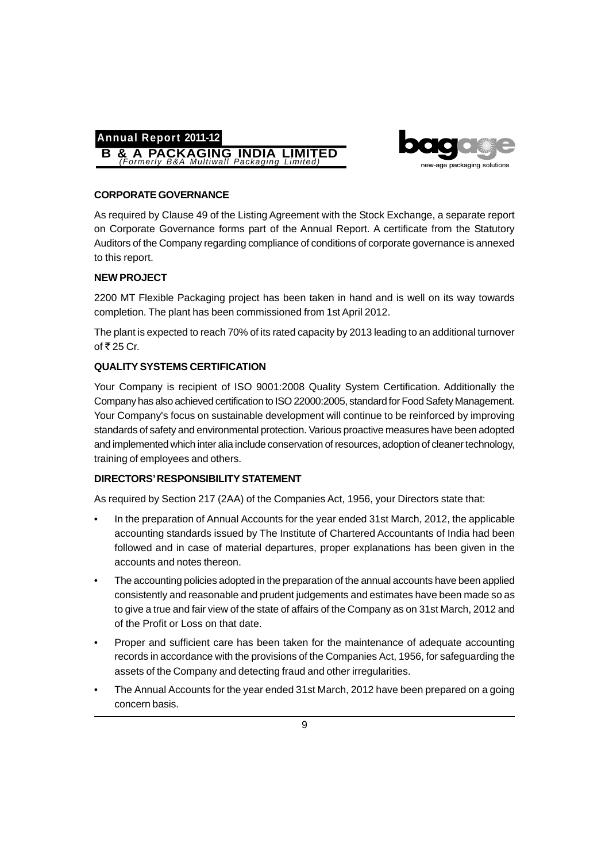



## **CORPORATE GOVERNANCE**

As required by Clause 49 of the Listing Agreement with the Stock Exchange, a separate report on Corporate Governance forms part of the Annual Report. A certificate from the Statutory Auditors of the Company regarding compliance of conditions of corporate governance is annexed to this report.

## **NEW PROJECT**

2200 MT Flexible Packaging project has been taken in hand and is well on its way towards completion. The plant has been commissioned from 1st April 2012.

The plant is expected to reach 70% of its rated capacity by 2013 leading to an additional turnover of  $\overline{5}$  25 Cr.

## **QUALITY SYSTEMS CERTIFICATION**

Your Company is recipient of ISO 9001:2008 Quality System Certification. Additionally the Company has also achieved certification to ISO 22000:2005, standard for Food Safety Management. Your Company's focus on sustainable development will continue to be reinforced by improving standards of safety and environmental protection. Various proactive measures have been adopted and implemented which inter alia include conservation of resources, adoption of cleaner technology, training of employees and others.

## **DIRECTORS' RESPONSIBILITY STATEMENT**

As required by Section 217 (2AA) of the Companies Act, 1956, your Directors state that:

- In the preparation of Annual Accounts for the year ended 31st March, 2012, the applicable accounting standards issued by The Institute of Chartered Accountants of India had been followed and in case of material departures, proper explanations has been given in the accounts and notes thereon.
- The accounting policies adopted in the preparation of the annual accounts have been applied consistently and reasonable and prudent judgements and estimates have been made so as to give a true and fair view of the state of affairs of the Company as on 31st March, 2012 and of the Profit or Loss on that date.
- Proper and sufficient care has been taken for the maintenance of adequate accounting records in accordance with the provisions of the Companies Act, 1956, for safeguarding the assets of the Company and detecting fraud and other irregularities.
- The Annual Accounts for the year ended 31st March, 2012 have been prepared on a going concern basis.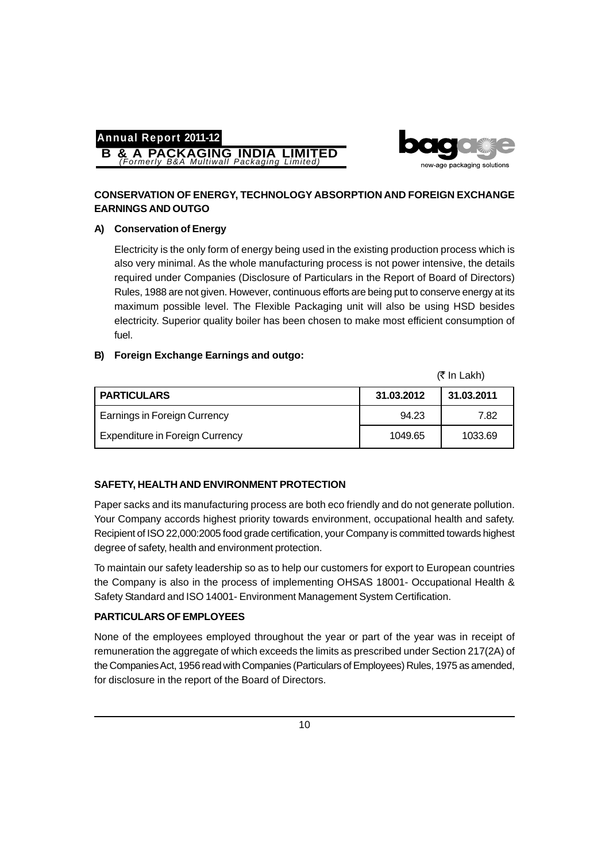**B & A PACKAGING INDIA LIMITED** *(Formerly B&A Multiwall Packaging Limited)*



## **CONSERVATION OF ENERGY, TECHNOLOGY ABSORPTION AND FOREIGN EXCHANGE EARNINGS AND OUTGO**

## **A) Conservation of Energy**

Electricity is the only form of energy being used in the existing production process which is also very minimal. As the whole manufacturing process is not power intensive, the details required under Companies (Disclosure of Particulars in the Report of Board of Directors) Rules, 1988 are not given. However, continuous efforts are being put to conserve energy at its maximum possible level. The Flexible Packaging unit will also be using HSD besides electricity. Superior quality boiler has been chosen to make most efficient consumption of fuel.

## **B) Foreign Exchange Earnings and outgo:**

(₹ In Lakh)

| <b>PARTICULARS</b>                     | 31.03.2012 | 31.03.2011 |
|----------------------------------------|------------|------------|
| <b>Earnings in Foreign Currency</b>    | 94.23      | 7.82       |
| <b>Expenditure in Foreign Currency</b> | 1049.65    | 1033.69    |

## **SAFETY, HEALTH AND ENVIRONMENT PROTECTION**

Paper sacks and its manufacturing process are both eco friendly and do not generate pollution. Your Company accords highest priority towards environment, occupational health and safety. Recipient of ISO 22,000:2005 food grade certification, your Company is committed towards highest degree of safety, health and environment protection.

To maintain our safety leadership so as to help our customers for export to European countries the Company is also in the process of implementing OHSAS 18001- Occupational Health & Safety Standard and ISO 14001- Environment Management System Certification.

## **PARTICULARS OF EMPLOYEES**

None of the employees employed throughout the year or part of the year was in receipt of remuneration the aggregate of which exceeds the limits as prescribed under Section 217(2A) of the Companies Act, 1956 read with Companies (Particulars of Employees) Rules, 1975 as amended, for disclosure in the report of the Board of Directors.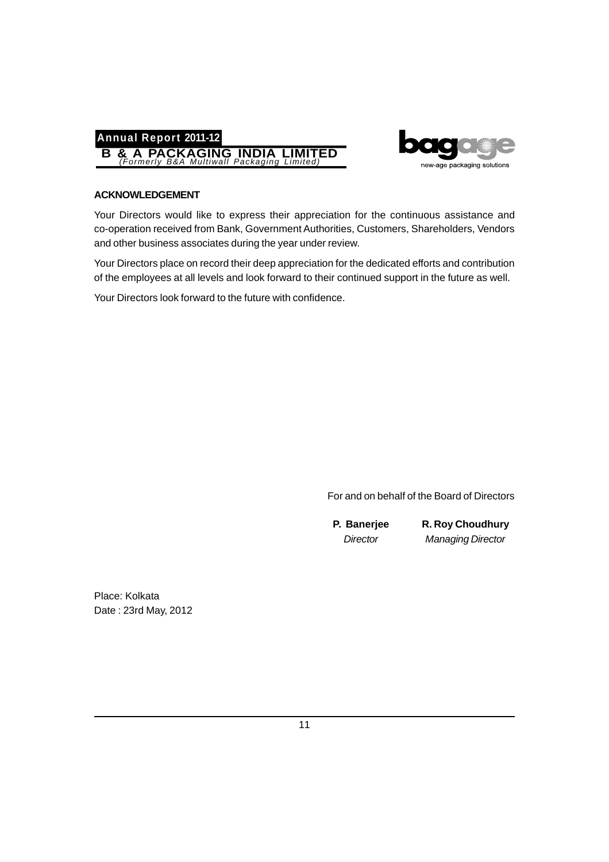



## **ACKNOWLEDGEMENT**

Your Directors would like to express their appreciation for the continuous assistance and co-operation received from Bank, Government Authorities, Customers, Shareholders, Vendors and other business associates during the year under review.

Your Directors place on record their deep appreciation for the dedicated efforts and contribution of the employees at all levels and look forward to their continued support in the future as well.

Your Directors look forward to the future with confidence.

For and on behalf of the Board of Directors

**P. Banerjee R. Roy Choudhury** *Director Managing Director*

Place: Kolkata Date : 23rd May, 2012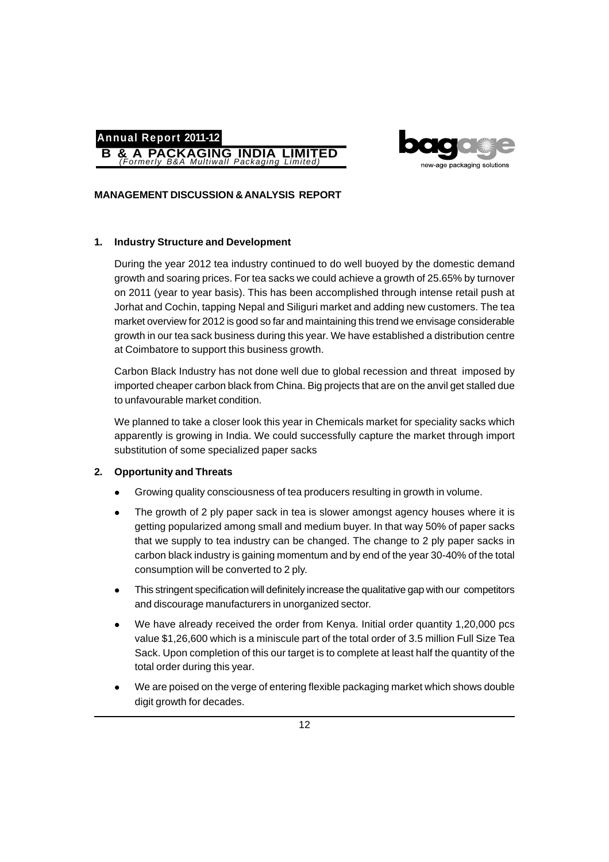



## **MANAGEMENT DISCUSSION & ANALYSIS REPORT**

#### **1. Industry Structure and Development**

During the year 2012 tea industry continued to do well buoyed by the domestic demand growth and soaring prices. For tea sacks we could achieve a growth of 25.65% by turnover on 2011 (year to year basis). This has been accomplished through intense retail push at Jorhat and Cochin, tapping Nepal and Siliguri market and adding new customers. The tea market overview for 2012 is good so far and maintaining this trend we envisage considerable growth in our tea sack business during this year. We have established a distribution centre at Coimbatore to support this business growth.

Carbon Black Industry has not done well due to global recession and threat imposed by imported cheaper carbon black from China. Big projects that are on the anvil get stalled due to unfavourable market condition.

We planned to take a closer look this year in Chemicals market for speciality sacks which apparently is growing in India. We could successfully capture the market through import substitution of some specialized paper sacks

#### **2. Opportunity and Threats**

- Growing quality consciousness of tea producers resulting in growth in volume.
- The growth of 2 ply paper sack in tea is slower amongst agency houses where it is getting popularized among small and medium buyer. In that way 50% of paper sacks that we supply to tea industry can be changed. The change to 2 ply paper sacks in carbon black industry is gaining momentum and by end of the year 30-40% of the total consumption will be converted to 2 ply.
- This stringent specification will definitely increase the qualitative gap with our competitors and discourage manufacturers in unorganized sector.
- We have already received the order from Kenya. Initial order quantity 1,20,000 pcs value \$1,26,600 which is a miniscule part of the total order of 3.5 million Full Size Tea Sack. Upon completion of this our target is to complete at least half the quantity of the total order during this year.
- We are poised on the verge of entering flexible packaging market which shows double digit growth for decades.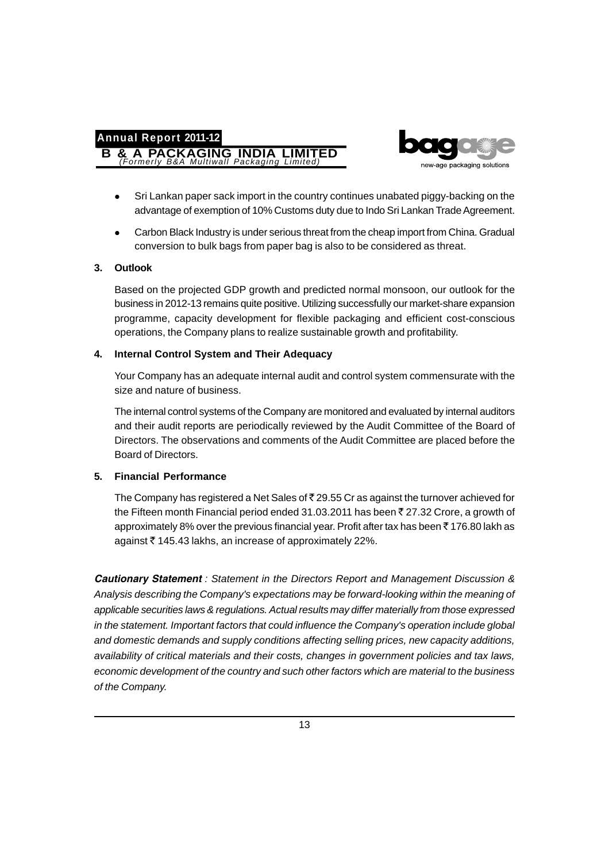**B & A PACKAGING INDIA LIMITED** *(Formerly B&A Multiwall Packaging Limited)*



- Sri Lankan paper sack import in the country continues unabated piggy-backing on the advantage of exemption of 10% Customs duty due to Indo Sri Lankan Trade Agreement.
- Carbon Black Industry is under serious threat from the cheap import from China. Gradual conversion to bulk bags from paper bag is also to be considered as threat.

## **3. Outlook**

Based on the projected GDP growth and predicted normal monsoon, our outlook for the business in 2012-13 remains quite positive. Utilizing successfully our market-share expansion programme, capacity development for flexible packaging and efficient cost-conscious operations, the Company plans to realize sustainable growth and profitability.

## **4. Internal Control System and Their Adequacy**

Your Company has an adequate internal audit and control system commensurate with the size and nature of business.

The internal control systems of the Company are monitored and evaluated by internal auditors and their audit reports are periodically reviewed by the Audit Committee of the Board of Directors. The observations and comments of the Audit Committee are placed before the Board of Directors.

## **5. Financial Performance**

The Company has registered a Net Sales of  $\bar{\tau}$  29.55 Cr as against the turnover achieved for the Fifteen month Financial period ended 31.03.2011 has been  $\bar{z}$  27.32 Crore, a growth of approximately 8% over the previous financial year. Profit after tax has been  $\bar{z}$  176.80 lakh as against ` 145.43 lakhs, an increase of approximately 22%.

*Cautionary Statement : Statement in the Directors Report and Management Discussion & Analysis describing the Company's expectations may be forward-looking within the meaning of applicable securities laws & regulations. Actual results may differ materially from those expressed in the statement. Important factors that could influence the Company's operation include global and domestic demands and supply conditions affecting selling prices, new capacity additions, availability of critical materials and their costs, changes in government policies and tax laws, economic development of the country and such other factors which are material to the business of the Company.*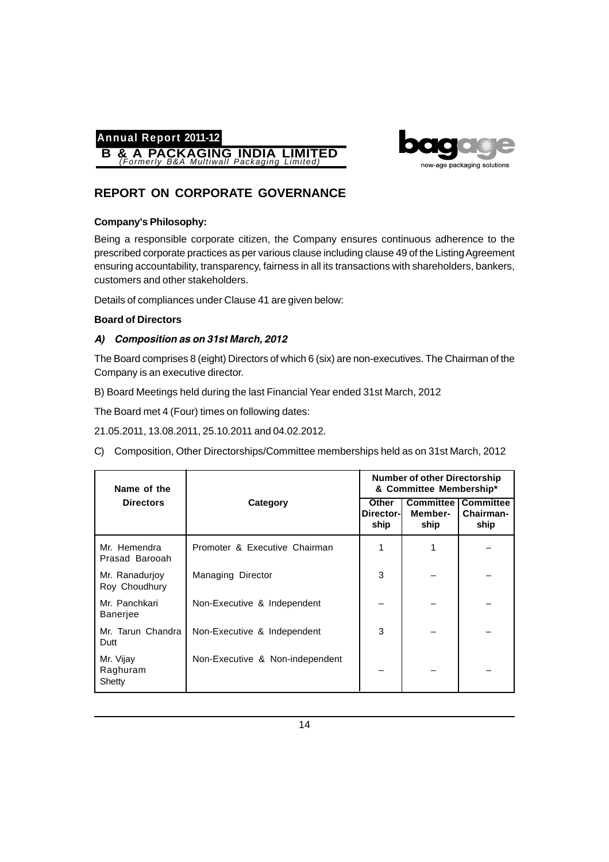



# **REPORT ON CORPORATE GOVERNANCE**

## **Company's Philosophy:**

Being a responsible corporate citizen, the Company ensures continuous adherence to the prescribed corporate practices as per various clause including clause 49 of the Listing Agreement ensuring accountability, transparency, fairness in all its transactions with shareholders, bankers, customers and other stakeholders.

Details of compliances under Clause 41 are given below:

## **Board of Directors**

## *A) Composition as on 31st March, 2012*

The Board comprises 8 (eight) Directors of which 6 (six) are non-executives. The Chairman of the Company is an executive director.

B) Board Meetings held during the last Financial Year ended 31st March, 2012

The Board met 4 (Four) times on following dates:

21.05.2011, 13.08.2011, 25.10.2011 and 04.02.2012.

C) Composition, Other Directorships/Committee memberships held as on 31st March, 2012

| Name of the                     |                                 | <b>Number of other Directorship</b><br>& Committee Membership* |                 |                                                   |
|---------------------------------|---------------------------------|----------------------------------------------------------------|-----------------|---------------------------------------------------|
| <b>Directors</b>                | Category                        | <b>Other</b><br>Director-<br>ship                              | Member-<br>ship | <b>Committee   Committee</b><br>Chairman-<br>ship |
| Mr. Hemendra<br>Prasad Barooah  | Promoter & Executive Chairman   |                                                                |                 |                                                   |
| Mr. Ranadurjoy<br>Roy Choudhury | Managing Director               | 3                                                              |                 |                                                   |
| Mr. Panchkari<br>Banerjee       | Non-Executive & Independent     |                                                                |                 |                                                   |
| Mr. Tarun Chandra<br>Dutt       | Non-Executive & Independent     | 3                                                              |                 |                                                   |
| Mr. Vijay<br>Raghuram<br>Shetty | Non-Executive & Non-independent |                                                                |                 |                                                   |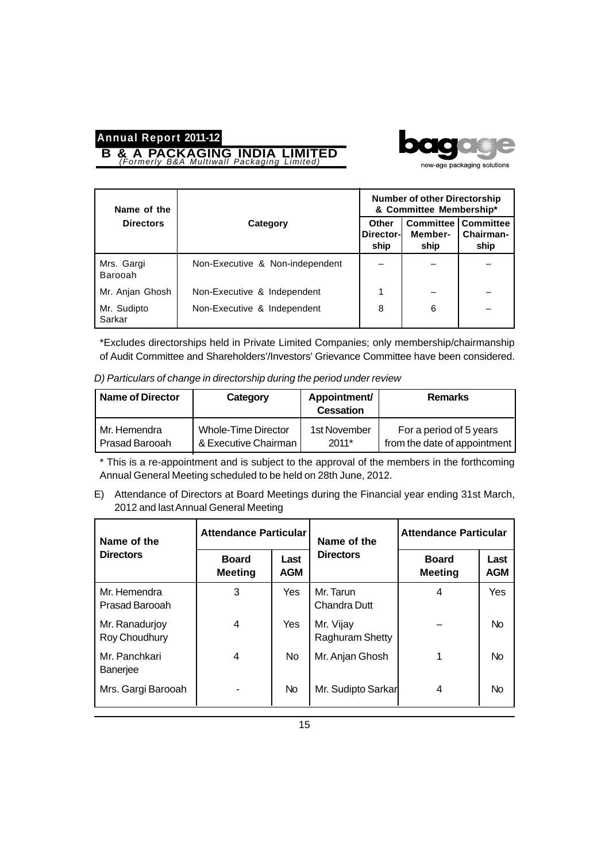**B & A PACKAGING INDIA LIMITED** *(Formerly B&A Multiwall Packaging Limited)*



| Name of the           |                                 |                            | <b>Number of other Directorship</b><br>& Committee Membership* |                   |  |
|-----------------------|---------------------------------|----------------------------|----------------------------------------------------------------|-------------------|--|
| <b>Directors</b>      | Category                        | Other<br>Director-<br>ship | <b>Committee   Committee</b><br>Member-<br>ship                | Chairman-<br>ship |  |
| Mrs. Gargi<br>Barooah | Non-Executive & Non-independent |                            |                                                                |                   |  |
| Mr. Anjan Ghosh       | Non-Executive & Independent     |                            |                                                                |                   |  |
| Mr. Sudipto<br>Sarkar | Non-Executive & Independent     | 8                          | 6                                                              |                   |  |

\*Excludes directorships held in Private Limited Companies; only membership/chairmanship of Audit Committee and Shareholders'/Investors' Grievance Committee have been considered.

| <b>Name of Director</b> | Category             | Appointment/<br><b>Cessation</b> | <b>Remarks</b>               |
|-------------------------|----------------------|----------------------------------|------------------------------|
| Mr. Hemendra            | Whole-Time Director  | 1st November                     | For a period of 5 years      |
| Prasad Barooah          | & Executive Chairman | $2011*$                          | from the date of appointment |

*D) Particulars of change in directorship during the period under review*

\* This is a re-appointment and is subject to the approval of the members in the forthcoming Annual General Meeting scheduled to be held on 28th June, 2012.

E) Attendance of Directors at Board Meetings during the Financial year ending 31st March, 2012 and last Annual General Meeting

| Name of the                      | <b>Attendance Particular</b>   |                    | Name of the                      | <b>Attendance Particular</b>   |                    |
|----------------------------------|--------------------------------|--------------------|----------------------------------|--------------------------------|--------------------|
| <b>Directors</b>                 | <b>Board</b><br><b>Meeting</b> | Last<br><b>AGM</b> | <b>Directors</b>                 | <b>Board</b><br><b>Meeting</b> | Last<br><b>AGM</b> |
| Mr. Hemendra<br>Prasad Barooah   | 3                              | <b>Yes</b>         | Mr. Tarun<br><b>Chandra Dutt</b> | 4                              | Yes                |
| Mr. Ranadurjoy<br>Roy Choudhury  | 4                              | <b>Yes</b>         | Mr. Vijay<br>Raghuram Shetty     |                                | <b>No</b>          |
| Mr. Panchkari<br><b>Baneriee</b> | 4                              | <b>No</b>          | Mr. Anjan Ghosh                  |                                | <b>No</b>          |
| Mrs. Gargi Barooah               |                                | N <sub>o</sub>     | Mr. Sudipto Sarkar               | 4                              | No.                |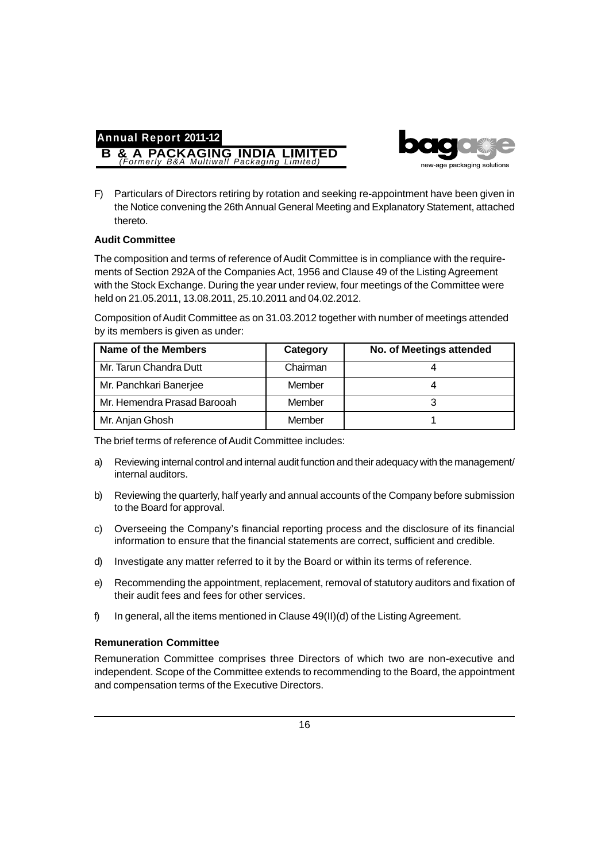



F) Particulars of Directors retiring by rotation and seeking re-appointment have been given in the Notice convening the 26th Annual General Meeting and Explanatory Statement, attached thereto.

## **Audit Committee**

The composition and terms of reference of Audit Committee is in compliance with the requirements of Section 292A of the Companies Act, 1956 and Clause 49 of the Listing Agreement with the Stock Exchange. During the year under review, four meetings of the Committee were held on 21.05.2011, 13.08.2011, 25.10.2011 and 04.02.2012.

Composition of Audit Committee as on 31.03.2012 together with number of meetings attended by its members is given as under:

| <b>Name of the Members</b>  | Category | No. of Meetings attended |
|-----------------------------|----------|--------------------------|
| Mr. Tarun Chandra Dutt      | Chairman |                          |
| Mr. Panchkari Banerjee      | Member   |                          |
| Mr. Hemendra Prasad Barooah | Member   |                          |
| Mr. Anjan Ghosh             | Member   |                          |

The brief terms of reference of Audit Committee includes:

- a) Reviewing internal control and internal audit function and their adequacy with the management/ internal auditors.
- b) Reviewing the quarterly, half yearly and annual accounts of the Company before submission to the Board for approval.
- c) Overseeing the Company's financial reporting process and the disclosure of its financial information to ensure that the financial statements are correct, sufficient and credible.
- d) Investigate any matter referred to it by the Board or within its terms of reference.
- e) Recommending the appointment, replacement, removal of statutory auditors and fixation of their audit fees and fees for other services.
- f) In general, all the items mentioned in Clause 49(II)(d) of the Listing Agreement.

## **Remuneration Committee**

Remuneration Committee comprises three Directors of which two are non-executive and independent. Scope of the Committee extends to recommending to the Board, the appointment and compensation terms of the Executive Directors.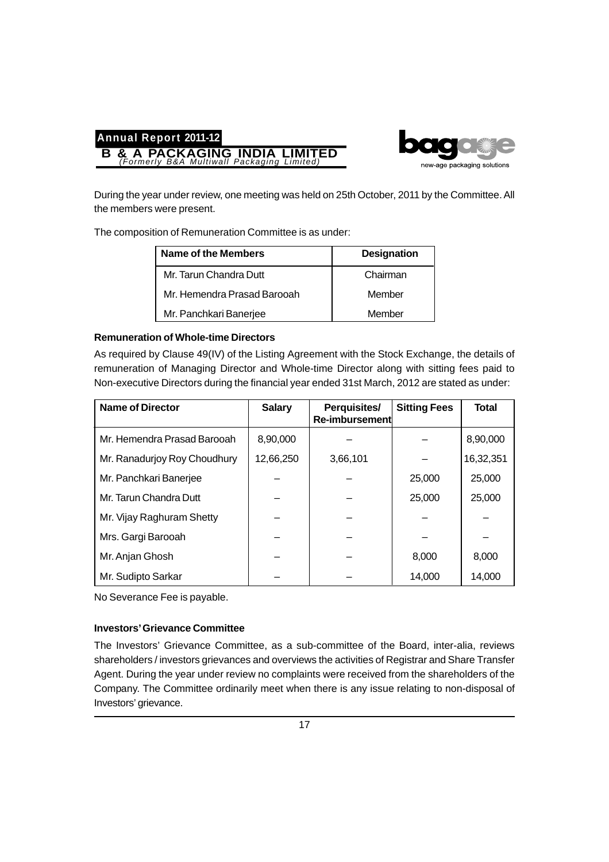

During the year under review, one meeting was held on 25th October, 2011 by the Committee. All the members were present.

The composition of Remuneration Committee is as under:

**B & A PACKAGING INDIA LIMITED** *(Formerly B&A Multiwall Packaging Limited)*

| Name of the Members          | <b>Designation</b> |
|------------------------------|--------------------|
| Mr. Tarun Chandra Dutt       | Chairman           |
| Mr. Hemendra Prasad Barooah. | Member             |
| Mr. Panchkari Banerjee       | Member             |

## **Remuneration of Whole-time Directors**

**Annual Report 2011-12**

As required by Clause 49(IV) of the Listing Agreement with the Stock Exchange, the details of remuneration of Managing Director and Whole-time Director along with sitting fees paid to Non-executive Directors during the financial year ended 31st March, 2012 are stated as under:

| <b>Name of Director</b>      | <b>Salary</b> | Perquisites/<br>Re-imbursement | <b>Sitting Fees</b> | <b>Total</b> |
|------------------------------|---------------|--------------------------------|---------------------|--------------|
| Mr. Hemendra Prasad Barooah  | 8,90,000      |                                |                     | 8,90,000     |
| Mr. Ranadurjoy Roy Choudhury | 12,66,250     | 3,66,101                       |                     | 16,32,351    |
| Mr. Panchkari Banerjee       |               |                                | 25,000              | 25,000       |
| Mr. Tarun Chandra Dutt       |               |                                | 25,000              | 25,000       |
| Mr. Vijay Raghuram Shetty    |               |                                |                     |              |
| Mrs. Gargi Barooah           |               |                                |                     |              |
| Mr. Anjan Ghosh              |               |                                | 8,000               | 8,000        |
| Mr. Sudipto Sarkar           |               |                                | 14,000              | 14,000       |

No Severance Fee is payable.

#### **Investors' Grievance Committee**

The Investors' Grievance Committee, as a sub-committee of the Board, inter-alia, reviews shareholders / investors grievances and overviews the activities of Registrar and Share Transfer Agent. During the year under review no complaints were received from the shareholders of the Company. The Committee ordinarily meet when there is any issue relating to non-disposal of Investors' grievance.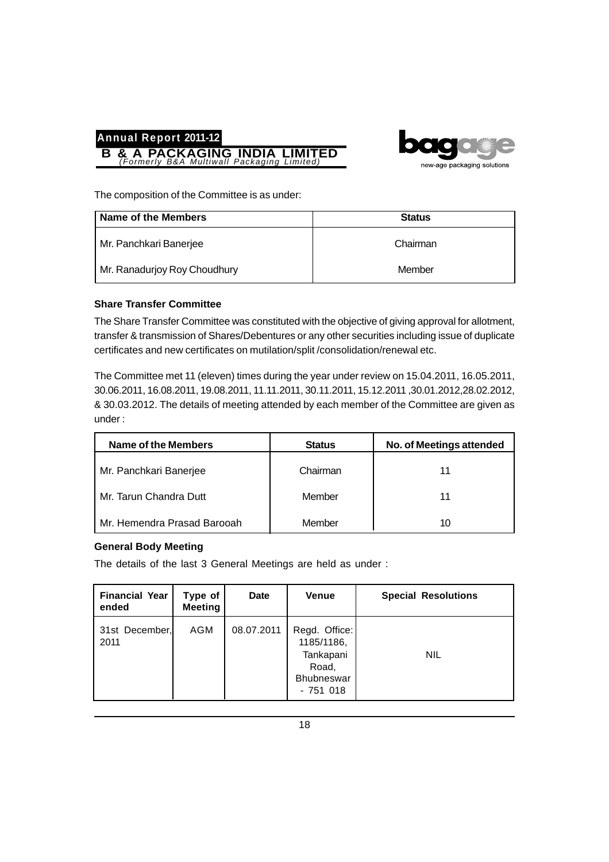



The composition of the Committee is as under:

| Name of the Members          | <b>Status</b> |
|------------------------------|---------------|
| Mr. Panchkari Banerjee       | Chairman      |
| Mr. Ranadurjoy Roy Choudhury | Member        |

## **Share Transfer Committee**

The Share Transfer Committee was constituted with the objective of giving approval for allotment, transfer & transmission of Shares/Debentures or any other securities including issue of duplicate certificates and new certificates on mutilation/split /consolidation/renewal etc.

The Committee met 11 (eleven) times during the year under review on 15.04.2011, 16.05.2011, 30.06.2011, 16.08.2011, 19.08.2011, 11.11.2011, 30.11.2011, 15.12.2011 ,30.01.2012,28.02.2012, & 30.03.2012. The details of meeting attended by each member of the Committee are given as under :

| Name of the Members         | <b>Status</b> | No. of Meetings attended |
|-----------------------------|---------------|--------------------------|
| Mr. Panchkari Banerjee      | Chairman      | 11                       |
| Mr. Tarun Chandra Dutt      | Member        | 11                       |
| Mr. Hemendra Prasad Barooah | Member        | 10                       |

## **General Body Meeting**

The details of the last 3 General Meetings are held as under :

| <b>Financial Year</b><br>ended | Type of<br><b>Meeting</b> | <b>Date</b> | <b>Venue</b>                                                                        | <b>Special Resolutions</b> |
|--------------------------------|---------------------------|-------------|-------------------------------------------------------------------------------------|----------------------------|
| 31st December,<br>2011         | AGM                       | 08.07.2011  | Regd. Office:<br>1185/1186,<br>Tankapani<br>Road,<br><b>Bhubneswar</b><br>$-751018$ | <b>NIL</b>                 |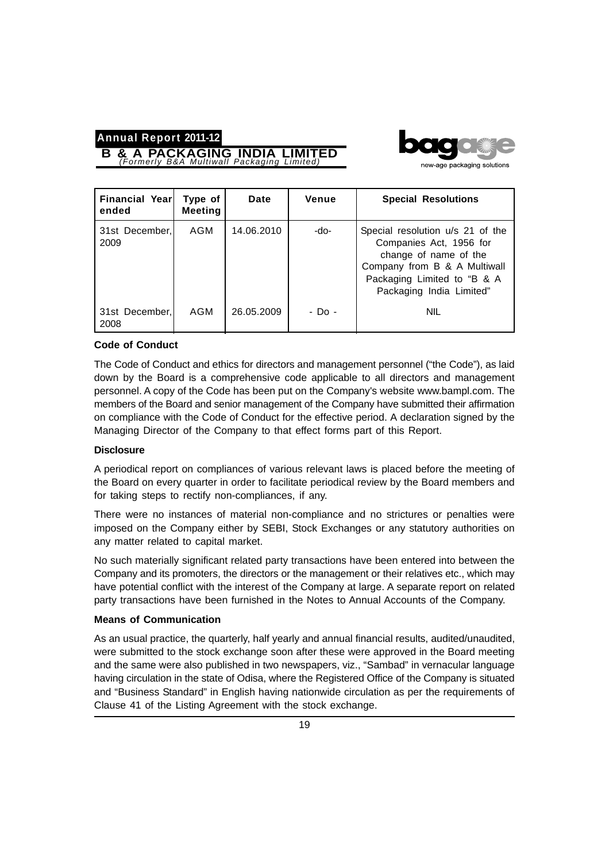**B & A PACKAGING INDIA LIMITED** *(Formerly B&A Multiwall Packaging Limited)*



| <b>Financial Year</b><br>ended | Type of<br><b>Meeting</b> | Date       | Venue  | <b>Special Resolutions</b>                                                                                                                                                      |
|--------------------------------|---------------------------|------------|--------|---------------------------------------------------------------------------------------------------------------------------------------------------------------------------------|
| 31st December,<br>2009         | AGM                       | 14.06.2010 | -do-   | Special resolution u/s 21 of the<br>Companies Act, 1956 for<br>change of name of the<br>Company from B & A Multiwall<br>Packaging Limited to "B & A<br>Packaging India Limited" |
| 31st December,<br>2008         | AGM                       | 26.05.2009 | - Do - | <b>NIL</b>                                                                                                                                                                      |

#### **Code of Conduct**

The Code of Conduct and ethics for directors and management personnel ("the Code"), as laid down by the Board is a comprehensive code applicable to all directors and management personnel. A copy of the Code has been put on the Company's website www.bampl.com. The members of the Board and senior management of the Company have submitted their affirmation on compliance with the Code of Conduct for the effective period. A declaration signed by the Managing Director of the Company to that effect forms part of this Report.

#### **Disclosure**

A periodical report on compliances of various relevant laws is placed before the meeting of the Board on every quarter in order to facilitate periodical review by the Board members and for taking steps to rectify non-compliances, if any.

There were no instances of material non-compliance and no strictures or penalties were imposed on the Company either by SEBI, Stock Exchanges or any statutory authorities on any matter related to capital market.

No such materially significant related party transactions have been entered into between the Company and its promoters, the directors or the management or their relatives etc., which may have potential conflict with the interest of the Company at large. A separate report on related party transactions have been furnished in the Notes to Annual Accounts of the Company.

#### **Means of Communication**

As an usual practice, the quarterly, half yearly and annual financial results, audited/unaudited, were submitted to the stock exchange soon after these were approved in the Board meeting and the same were also published in two newspapers, viz., "Sambad" in vernacular language having circulation in the state of Odisa, where the Registered Office of the Company is situated and "Business Standard" in English having nationwide circulation as per the requirements of Clause 41 of the Listing Agreement with the stock exchange.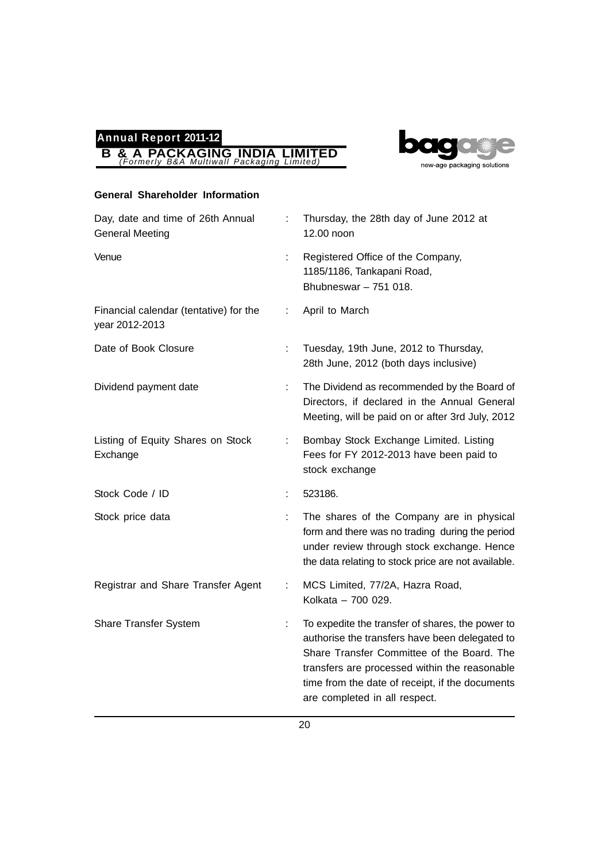

## **General Shareholder Information**

**B & A PACKAGING INDIA LIMITED** *(Formerly B&A Multiwall Packaging Limited)*

**Annual Report 2011-12**

| Day, date and time of 26th Annual<br><b>General Meeting</b> | ÷. | Thursday, the 28th day of June 2012 at<br>12.00 noon                                                                                                                                                                                                                                  |
|-------------------------------------------------------------|----|---------------------------------------------------------------------------------------------------------------------------------------------------------------------------------------------------------------------------------------------------------------------------------------|
| Venue                                                       | ÷  | Registered Office of the Company,<br>1185/1186, Tankapani Road,<br>Bhubneswar $-751$ 018.                                                                                                                                                                                             |
| Financial calendar (tentative) for the<br>year 2012-2013    | t  | April to March                                                                                                                                                                                                                                                                        |
| Date of Book Closure                                        | ÷. | Tuesday, 19th June, 2012 to Thursday,<br>28th June, 2012 (both days inclusive)                                                                                                                                                                                                        |
| Dividend payment date                                       | ÷. | The Dividend as recommended by the Board of<br>Directors, if declared in the Annual General<br>Meeting, will be paid on or after 3rd July, 2012                                                                                                                                       |
| Listing of Equity Shares on Stock<br>Exchange               | ÷. | Bombay Stock Exchange Limited. Listing<br>Fees for FY 2012-2013 have been paid to<br>stock exchange                                                                                                                                                                                   |
| Stock Code / ID                                             | t. | 523186.                                                                                                                                                                                                                                                                               |
| Stock price data                                            |    | The shares of the Company are in physical<br>form and there was no trading during the period<br>under review through stock exchange. Hence<br>the data relating to stock price are not available.                                                                                     |
| Registrar and Share Transfer Agent                          | ÷. | MCS Limited, 77/2A, Hazra Road,<br>Kolkata - 700 029.                                                                                                                                                                                                                                 |
| <b>Share Transfer System</b>                                | t  | To expedite the transfer of shares, the power to<br>authorise the transfers have been delegated to<br>Share Transfer Committee of the Board. The<br>transfers are processed within the reasonable<br>time from the date of receipt, if the documents<br>are completed in all respect. |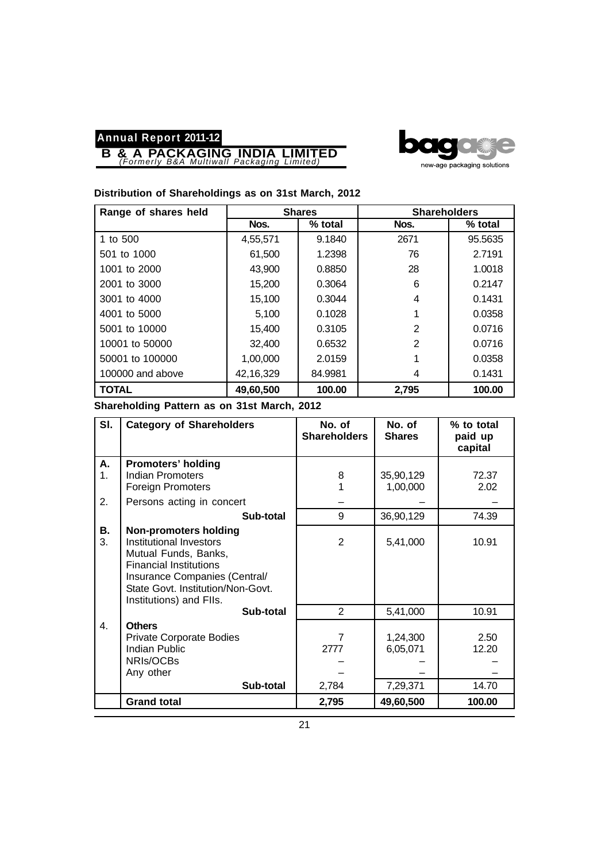**B & A PACKAGING INDIA LIMITED** *(Formerly B&A Multiwall Packaging Limited)*



## **Distribution of Shareholdings as on 31st March, 2012**

| Range of shares held | <b>Shares</b> |         | <b>Shareholders</b> |         |
|----------------------|---------------|---------|---------------------|---------|
|                      | Nos.          | % total | Nos.                | % total |
| 1 to 500             | 4,55,571      | 9.1840  | 2671                | 95.5635 |
| 501 to 1000          | 61,500        | 1.2398  | 76                  | 2.7191  |
| 1001 to 2000         | 43,900        | 0.8850  | 28                  | 1.0018  |
| 2001 to 3000         | 15,200        | 0.3064  | 6                   | 0.2147  |
| 3001 to 4000         | 15,100        | 0.3044  | 4                   | 0.1431  |
| 4001 to 5000         | 5.100         | 0.1028  |                     | 0.0358  |
| 5001 to 10000        | 15,400        | 0.3105  | 2                   | 0.0716  |
| 10001 to 50000       | 32,400        | 0.6532  | $\overline{2}$      | 0.0716  |
| 50001 to 100000      | 1,00,000      | 2.0159  |                     | 0.0358  |
| 100000 and above     | 42,16,329     | 84.9981 | 4                   | 0.1431  |
| <b>TOTAL</b>         | 49,60,500     | 100.00  | 2,795               | 100.00  |

**Shareholding Pattern as on 31st March, 2012**

| SI.            | <b>Category of Shareholders</b>                                                                                                                                                                                   | No. of<br><b>Shareholders</b> | No. of<br><b>Shares</b> | % to total<br>paid up<br>capital |
|----------------|-------------------------------------------------------------------------------------------------------------------------------------------------------------------------------------------------------------------|-------------------------------|-------------------------|----------------------------------|
| Α.             | <b>Promoters' holding</b>                                                                                                                                                                                         |                               |                         |                                  |
| 1 <sub>1</sub> | Indian Promoters                                                                                                                                                                                                  | 8                             | 35,90,129               | 72.37                            |
|                | <b>Foreign Promoters</b>                                                                                                                                                                                          |                               | 1,00,000                | 2.02                             |
| 2.             | Persons acting in concert                                                                                                                                                                                         |                               |                         |                                  |
|                | Sub-total                                                                                                                                                                                                         | 9                             | 36,90,129               | 74.39                            |
| В.<br>3.       | <b>Non-promoters holding</b><br>Institutional Investors<br>Mutual Funds, Banks,<br><b>Financial Institutions</b><br>Insurance Companies (Central/<br>State Govt. Institution/Non-Govt.<br>Institutions) and FIIs. | 2                             | 5,41,000                | 10.91                            |
|                | Sub-total                                                                                                                                                                                                         | 2                             | 5,41,000                | 10.91                            |
| 4.             | <b>Others</b>                                                                                                                                                                                                     |                               |                         |                                  |
|                | <b>Private Corporate Bodies</b>                                                                                                                                                                                   | 7                             | 1,24,300                | 2.50                             |
|                | <b>Indian Public</b>                                                                                                                                                                                              | 2777                          | 6,05,071                | 12.20                            |
|                | NRIs/OCBs                                                                                                                                                                                                         |                               |                         |                                  |
|                | Any other                                                                                                                                                                                                         |                               |                         |                                  |
|                | Sub-total                                                                                                                                                                                                         | 2,784                         | 7,29,371                | 14.70                            |
|                | <b>Grand total</b>                                                                                                                                                                                                | 2,795                         | 49,60,500               | 100.00                           |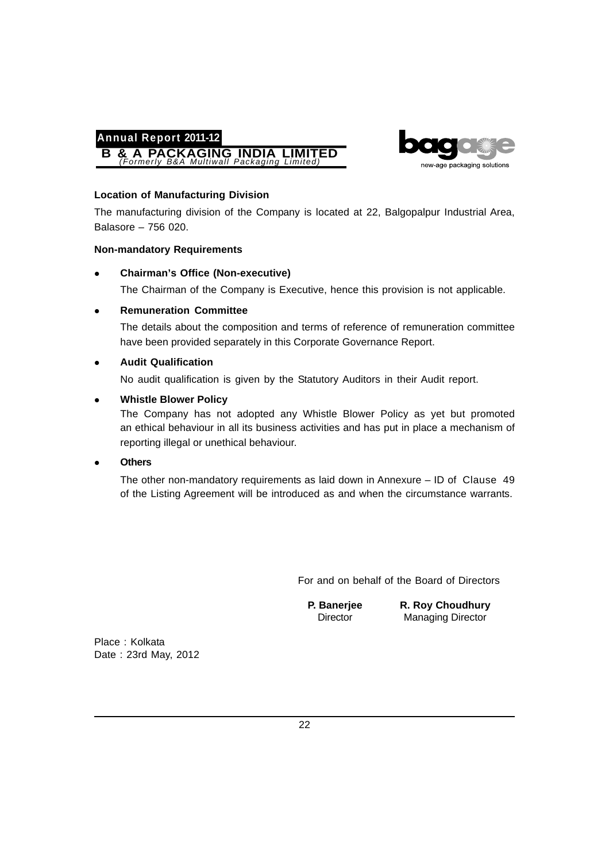



#### **Location of Manufacturing Division**

The manufacturing division of the Company is located at 22, Balgopalpur Industrial Area, Balasore – 756 020.

#### **Non-mandatory Requirements**

**Chairman's Office (Non-executive)**

The Chairman of the Company is Executive, hence this provision is not applicable.

## **Remuneration Committee**

The details about the composition and terms of reference of remuneration committee have been provided separately in this Corporate Governance Report.

#### **Audit Qualification**

No audit qualification is given by the Statutory Auditors in their Audit report.

#### **Whistle Blower Policy**

The Company has not adopted any Whistle Blower Policy as yet but promoted an ethical behaviour in all its business activities and has put in place a mechanism of reporting illegal or unethical behaviour.

## **Others**

The other non-mandatory requirements as laid down in Annexure – ID of Clause 49 of the Listing Agreement will be introduced as and when the circumstance warrants.

For and on behalf of the Board of Directors

**P. Banerjee R. Roy Choudhury** Director Managing Director

Place : Kolkata Date : 23rd May, 2012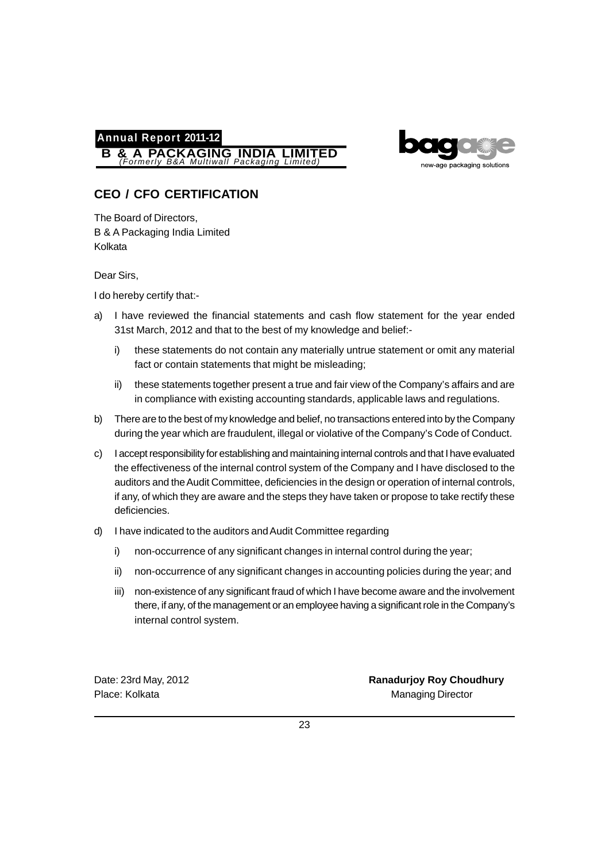



# **CEO / CFO CERTIFICATION**

The Board of Directors, B & A Packaging India Limited Kolkata

Dear Sirs,

I do hereby certify that:-

- a) I have reviewed the financial statements and cash flow statement for the year ended 31st March, 2012 and that to the best of my knowledge and belief:
	- i) these statements do not contain any materially untrue statement or omit any material fact or contain statements that might be misleading;
	- ii) these statements together present a true and fair view of the Company's affairs and are in compliance with existing accounting standards, applicable laws and regulations.
- b) There are to the best of my knowledge and belief, no transactions entered into by the Company during the year which are fraudulent, illegal or violative of the Company's Code of Conduct.
- c) I accept responsibility for establishing and maintaining internal controls and that I have evaluated the effectiveness of the internal control system of the Company and I have disclosed to the auditors and the Audit Committee, deficiencies in the design or operation of internal controls, if any, of which they are aware and the steps they have taken or propose to take rectify these deficiencies.
- d) I have indicated to the auditors and Audit Committee regarding
	- i) non-occurrence of any significant changes in internal control during the year;
	- ii) non-occurrence of any significant changes in accounting policies during the year; and
	- iii) non-existence of any significant fraud of which I have become aware and the involvement there, if any, of the management or an employee having a significant role in the Company's internal control system.

Date: 23rd May, 2012 **Ranadurjoy Roy Choudhury** Place: Kolkata Managing Director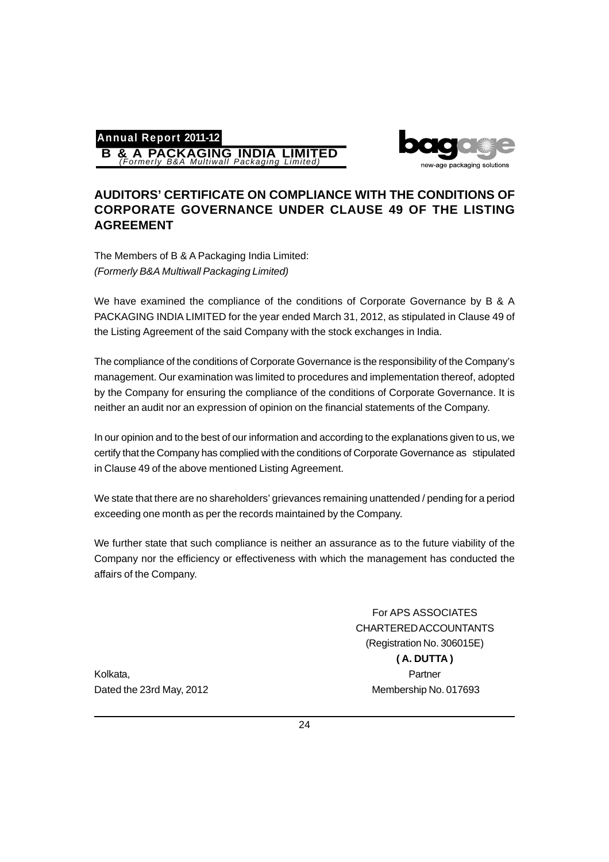**Annual Report 2011-12 B & A PACKAGING INDIA LIMITED** *(Formerly B&A Multiwall Packaging Limited)*



## **AUDITORS' CERTIFICATE ON COMPLIANCE WITH THE CONDITIONS OF CORPORATE GOVERNANCE UNDER CLAUSE 49 OF THE LISTING AGREEMENT**

The Members of B & A Packaging India Limited: *(Formerly B&A Multiwall Packaging Limited)*

We have examined the compliance of the conditions of Corporate Governance by B & A PACKAGING INDIA LIMITED for the year ended March 31, 2012, as stipulated in Clause 49 of the Listing Agreement of the said Company with the stock exchanges in India.

The compliance of the conditions of Corporate Governance is the responsibility of the Company's management. Our examination was limited to procedures and implementation thereof, adopted by the Company for ensuring the compliance of the conditions of Corporate Governance. It is neither an audit nor an expression of opinion on the financial statements of the Company.

In our opinion and to the best of our information and according to the explanations given to us, we certify that the Company has complied with the conditions of Corporate Governance as stipulated in Clause 49 of the above mentioned Listing Agreement.

We state that there are no shareholders' grievances remaining unattended / pending for a period exceeding one month as per the records maintained by the Company.

We further state that such compliance is neither an assurance as to the future viability of the Company nor the efficiency or effectiveness with which the management has conducted the affairs of the Company.

For APS ASSOCIATES CHARTERED ACCOUNTANTS (Registration No. 306015E) **( A. DUTTA )** Dated the 23rd May, 2012 Membership No. 017693

Kolkata, Partner and Partner and Partner and Partner and Partner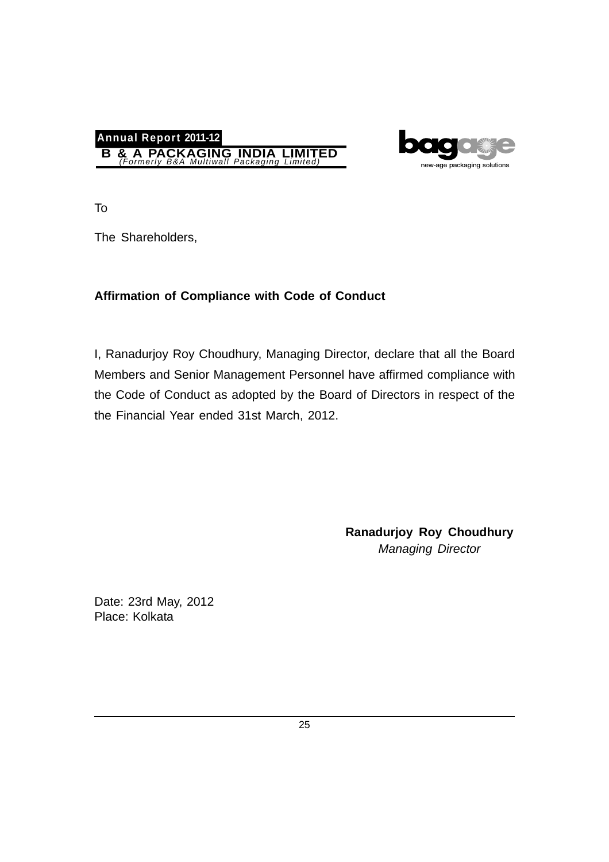



To

The Shareholders,

# **Affirmation of Compliance with Code of Conduct**

I, Ranadurjoy Roy Choudhury, Managing Director, declare that all the Board Members and Senior Management Personnel have affirmed compliance with the Code of Conduct as adopted by the Board of Directors in respect of the the Financial Year ended 31st March, 2012.

> **Ranadurjoy Roy Choudhury** *Managing Director*

Date: 23rd May, 2012 Place: Kolkata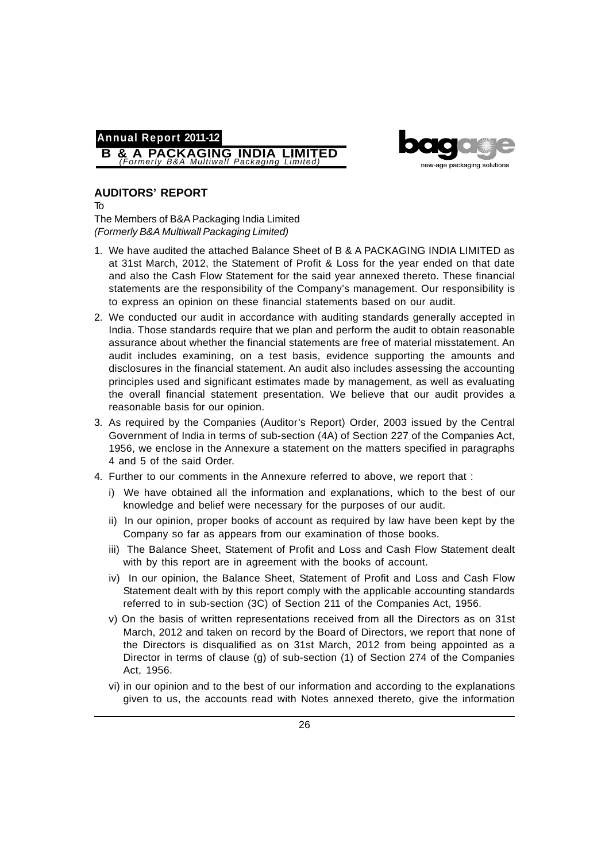



## **AUDITORS' REPORT**

To

The Members of B&A Packaging India Limited *(Formerly B&A Multiwall Packaging Limited)*

- 1. We have audited the attached Balance Sheet of B & A PACKAGING INDIA LIMITED as at 31st March, 2012, the Statement of Profit & Loss for the year ended on that date and also the Cash Flow Statement for the said year annexed thereto. These financial statements are the responsibility of the Company's management. Our responsibility is to express an opinion on these financial statements based on our audit.
- 2. We conducted our audit in accordance with auditing standards generally accepted in India. Those standards require that we plan and perform the audit to obtain reasonable assurance about whether the financial statements are free of material misstatement. An audit includes examining, on a test basis, evidence supporting the amounts and disclosures in the financial statement. An audit also includes assessing the accounting principles used and significant estimates made by management, as well as evaluating the overall financial statement presentation. We believe that our audit provides a reasonable basis for our opinion.
- 3. As required by the Companies (Auditor's Report) Order, 2003 issued by the Central Government of India in terms of sub-section (4A) of Section 227 of the Companies Act, 1956, we enclose in the Annexure a statement on the matters specified in paragraphs 4 and 5 of the said Order.
- 4. Further to our comments in the Annexure referred to above, we report that :
	- i) We have obtained all the information and explanations, which to the best of our knowledge and belief were necessary for the purposes of our audit.
	- ii) In our opinion, proper books of account as required by law have been kept by the Company so far as appears from our examination of those books.
	- iii) The Balance Sheet, Statement of Profit and Loss and Cash Flow Statement dealt with by this report are in agreement with the books of account.
	- iv) In our opinion, the Balance Sheet, Statement of Profit and Loss and Cash Flow Statement dealt with by this report comply with the applicable accounting standards referred to in sub-section (3C) of Section 211 of the Companies Act, 1956.
	- v) On the basis of written representations received from all the Directors as on 31st March, 2012 and taken on record by the Board of Directors, we report that none of the Directors is disqualified as on 31st March, 2012 from being appointed as a Director in terms of clause (g) of sub-section (1) of Section 274 of the Companies Act, 1956.
	- vi) in our opinion and to the best of our information and according to the explanations given to us, the accounts read with Notes annexed thereto, give the information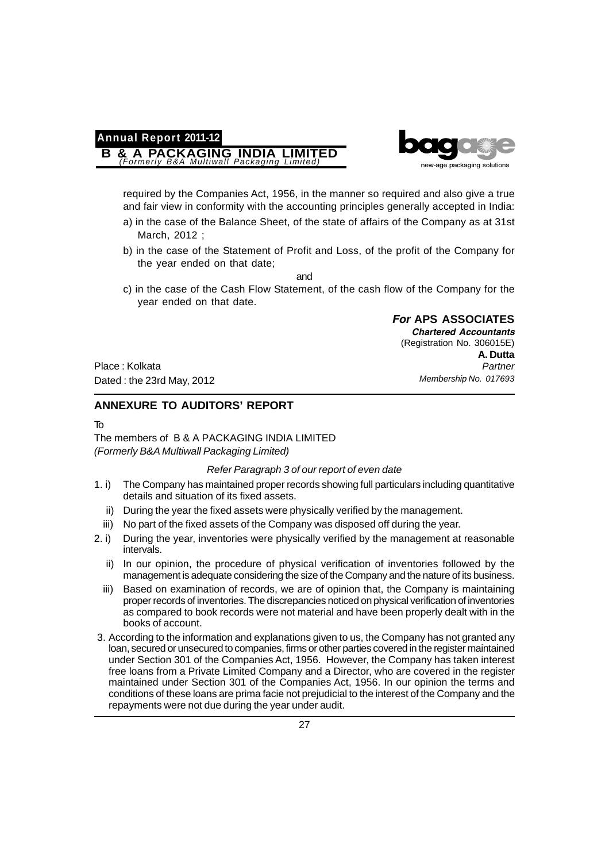# **Annual Report 2011-12 B & A PACKAGING INDIA LIMITED** *(Formerly B&A Multiwall Packaging Limited)*



required by the Companies Act, 1956, in the manner so required and also give a true and fair view in conformity with the accounting principles generally accepted in India:

- a) in the case of the Balance Sheet, of the state of affairs of the Company as at 31st March, 2012 ;
- b) in the case of the Statement of Profit and Loss, of the profit of the Company for the year ended on that date;

and

c) in the case of the Cash Flow Statement, of the cash flow of the Company for the year ended on that date.

> *For* **APS ASSOCIATES** *Chartered Accountants* (Registration No. 306015E) **A. Dutta** *Partner Membership No. 017693*

Place : Kolkata Dated : the 23rd May, 2012

## **ANNEXURE TO AUDITORS' REPORT**

To

The members of B & A PACKAGING INDIA LIMITED *(Formerly B&A Multiwall Packaging Limited)*

#### *Refer Paragraph 3 of our report of even date*

- 1. i) The Company has maintained proper records showing full particulars including quantitative details and situation of its fixed assets.
	- ii) During the year the fixed assets were physically verified by the management.
	- iii) No part of the fixed assets of the Company was disposed off during the year.
- 2. i) During the year, inventories were physically verified by the management at reasonable intervals.
	- ii) In our opinion, the procedure of physical verification of inventories followed by the management is adequate considering the size of the Company and the nature of its business.
	- iii) Based on examination of records, we are of opinion that, the Company is maintaining proper records of inventories. The discrepancies noticed on physical verification of inventories as compared to book records were not material and have been properly dealt with in the books of account.
- 3. According to the information and explanations given to us, the Company has not granted any loan, secured or unsecured to companies, firms or other parties covered in the register maintained under Section 301 of the Companies Act, 1956. However, the Company has taken interest free loans from a Private Limited Company and a Director, who are covered in the register maintained under Section 301 of the Companies Act, 1956. In our opinion the terms and conditions of these loans are prima facie not prejudicial to the interest of the Company and the repayments were not due during the year under audit.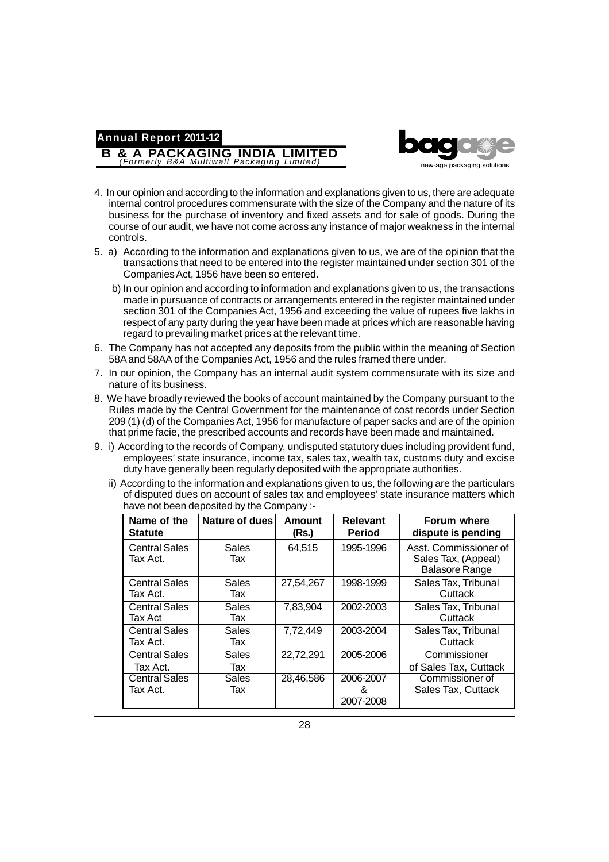

4. In our opinion and according to the information and explanations given to us, there are adequate internal control procedures commensurate with the size of the Company and the nature of its business for the purchase of inventory and fixed assets and for sale of goods. During the course of our audit, we have not come across any instance of major weakness in the internal controls.

**Annual Report 2011-12**

**B & A PACKAGING INDIA LIMITED** *(Formerly B&A Multiwall Packaging Limited)*

- 5. a) According to the information and explanations given to us, we are of the opinion that the transactions that need to be entered into the register maintained under section 301 of the Companies Act, 1956 have been so entered.
	- b) In our opinion and according to information and explanations given to us, the transactions made in pursuance of contracts or arrangements entered in the register maintained under section 301 of the Companies Act, 1956 and exceeding the value of rupees five lakhs in respect of any party during the year have been made at prices which are reasonable having regard to prevailing market prices at the relevant time.
- 6. The Company has not accepted any deposits from the public within the meaning of Section 58A and 58AA of the Companies Act, 1956 and the rules framed there under.
- 7. In our opinion, the Company has an internal audit system commensurate with its size and nature of its business.
- 8. We have broadly reviewed the books of account maintained by the Company pursuant to the Rules made by the Central Government for the maintenance of cost records under Section 209 (1) (d) of the Companies Act, 1956 for manufacture of paper sacks and are of the opinion that prime facie, the prescribed accounts and records have been made and maintained.
- 9. i) According to the records of Company, undisputed statutory dues including provident fund, employees' state insurance, income tax, sales tax, wealth tax, customs duty and excise duty have generally been regularly deposited with the appropriate authorities.
	- ii) According to the information and explanations given to us, the following are the particulars of disputed dues on account of sales tax and employees' state insurance matters which have not been deposited by the Company :-

| Name of the<br><b>Statute</b>    | Nature of dues      | Amount<br>(Rs.) | <b>Relevant</b><br><b>Period</b> | <b>Forum where</b><br>dispute is pending                              |
|----------------------------------|---------------------|-----------------|----------------------------------|-----------------------------------------------------------------------|
| <b>Central Sales</b><br>Tax Act. | <b>Sales</b><br>Tax | 64,515          | 1995-1996                        | Asst. Commissioner of<br>Sales Tax, (Appeal)<br><b>Balasore Range</b> |
| <b>Central Sales</b><br>Tax Act. | <b>Sales</b><br>Tax | 27,54,267       | 1998-1999                        | Sales Tax, Tribunal<br>Cuttack                                        |
| <b>Central Sales</b><br>Tax Act  | <b>Sales</b><br>Tax | 7,83,904        | 2002-2003                        | Sales Tax, Tribunal<br>Cuttack                                        |
| <b>Central Sales</b><br>Tax Act. | <b>Sales</b><br>Tax | 7,72,449        | 2003-2004                        | Sales Tax, Tribunal<br>Cuttack                                        |
| <b>Central Sales</b><br>Tax Act. | <b>Sales</b><br>Tax | 22,72,291       | 2005-2006                        | Commissioner<br>of Sales Tax, Cuttack                                 |
| <b>Central Sales</b><br>Tax Act. | Sales<br>Tax        | 28,46,586       | 2006-2007<br>&<br>2007-2008      | Commissioner of<br>Sales Tax, Cuttack                                 |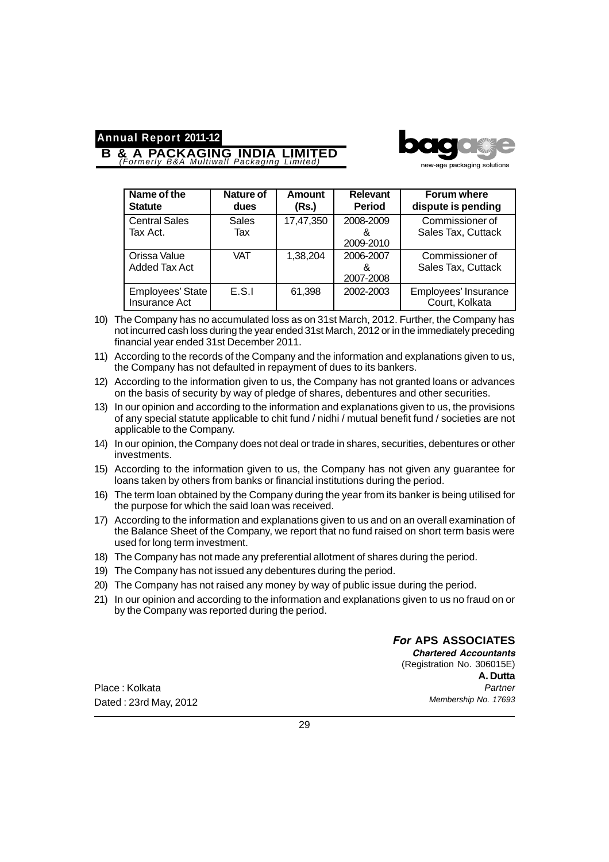# **B & A PACKAGING INDIA LIMITED** *(Formerly B&A Multiwall Packaging Limited)*



new-age packaging solutions

| Name of the                       | <b>Nature of</b>    | <b>Amount</b> | <b>Relevant</b>             | Forum where                            |
|-----------------------------------|---------------------|---------------|-----------------------------|----------------------------------------|
| <b>Statute</b>                    | dues                | (Rs.)         | <b>Period</b>               | dispute is pending                     |
| <b>Central Sales</b><br>Tax Act.  | <b>Sales</b><br>Tax | 17,47,350     | 2008-2009<br>&<br>2009-2010 | Commissioner of<br>Sales Tax, Cuttack  |
| Orissa Value<br>Added Tax Act     | <b>VAT</b>          | 1,38,204      | 2006-2007<br>ጼ<br>2007-2008 | Commissioner of<br>Sales Tax, Cuttack  |
| Employees' State<br>Insurance Act | E.S.I               | 61,398        | 2002-2003                   | Employees' Insurance<br>Court, Kolkata |

- 10) The Company has no accumulated loss as on 31st March, 2012. Further, the Company has not incurred cash loss during the year ended 31st March, 2012 or in the immediately preceding financial year ended 31st December 2011.
- 11) According to the records of the Company and the information and explanations given to us, the Company has not defaulted in repayment of dues to its bankers.
- 12) According to the information given to us, the Company has not granted loans or advances on the basis of security by way of pledge of shares, debentures and other securities.
- 13) In our opinion and according to the information and explanations given to us, the provisions of any special statute applicable to chit fund / nidhi / mutual benefit fund / societies are not applicable to the Company.
- 14) In our opinion, the Company does not deal or trade in shares, securities, debentures or other investments.
- 15) According to the information given to us, the Company has not given any guarantee for loans taken by others from banks or financial institutions during the period.
- 16) The term loan obtained by the Company during the year from its banker is being utilised for the purpose for which the said loan was received.
- 17) According to the information and explanations given to us and on an overall examination of the Balance Sheet of the Company, we report that no fund raised on short term basis were used for long term investment.
- 18) The Company has not made any preferential allotment of shares during the period.
- 19) The Company has not issued any debentures during the period.
- 20) The Company has not raised any money by way of public issue during the period.
- 21) In our opinion and according to the information and explanations given to us no fraud on or by the Company was reported during the period.

Place : Kolkata Dated : 23rd May, 2012 *For* **APS ASSOCIATES** *Chartered Accountants* (Registration No. 306015E) **A. Dutta** *Partner Membership No. 17693*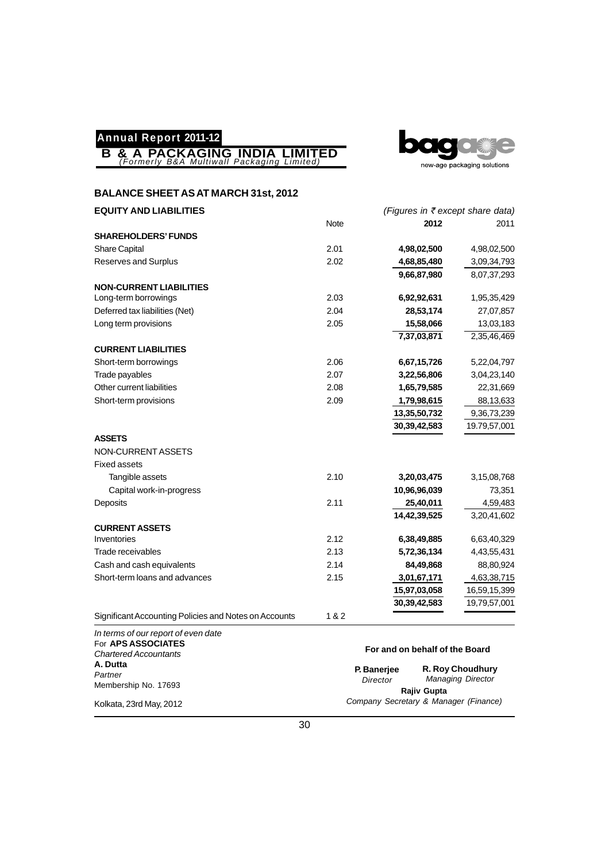



## **BALANCE SHEET AS AT MARCH 31st, 2012**

| <b>EQUITY AND LIABILITIES</b>                         |       | (Figures in ₹ except share data) |              |
|-------------------------------------------------------|-------|----------------------------------|--------------|
|                                                       | Note  | 2012                             | 2011         |
| <b>SHAREHOLDERS' FUNDS</b>                            |       |                                  |              |
| Share Capital                                         | 2.01  | 4,98,02,500                      | 4,98,02,500  |
| Reserves and Surplus                                  | 2.02  | 4,68,85,480                      | 3,09,34,793  |
|                                                       |       | 9,66,87,980                      | 8,07,37,293  |
| <b>NON-CURRENT LIABILITIES</b>                        |       |                                  |              |
| Long-term borrowings                                  | 2.03  | 6,92,92,631                      | 1,95,35,429  |
| Deferred tax liabilities (Net)                        | 2.04  | 28,53,174                        | 27,07,857    |
| Long term provisions                                  | 2.05  | 15,58,066                        | 13,03,183    |
|                                                       |       | 7,37,03,871                      | 2,35,46,469  |
| <b>CURRENT LIABILITIES</b>                            |       |                                  |              |
| Short-term borrowings                                 | 2.06  | 6,67,15,726                      | 5,22,04,797  |
| Trade payables                                        | 2.07  | 3,22,56,806                      | 3,04,23,140  |
| Other current liabilities                             | 2.08  | 1,65,79,585                      | 22,31,669    |
| Short-term provisions                                 | 2.09  | 1,79,98,615                      | 88,13,633    |
|                                                       |       | 13,35,50,732                     | 9,36,73,239  |
|                                                       |       | 30, 39, 42, 583                  | 19.79,57,001 |
| <b>ASSETS</b>                                         |       |                                  |              |
| NON-CURRENT ASSETS                                    |       |                                  |              |
| <b>Fixed assets</b>                                   |       |                                  |              |
| Tangible assets                                       | 2.10  | 3,20,03,475                      | 3,15,08,768  |
| Capital work-in-progress                              |       | 10,96,96,039                     | 73,351       |
| Deposits                                              | 2.11  | 25,40,011                        | 4,59,483     |
|                                                       |       | 14,42,39,525                     | 3,20,41,602  |
| <b>CURRENT ASSETS</b>                                 |       |                                  |              |
| Inventories                                           | 2.12  | 6,38,49,885                      | 6,63,40,329  |
| Trade receivables                                     | 2.13  | 5,72,36,134                      | 4,43,55,431  |
| Cash and cash equivalents                             | 2.14  | 84,49,868                        | 88,80,924    |
| Short-term loans and advances                         | 2.15  | 3,01,67,171                      | 4,63,38,715  |
|                                                       |       | 15,97,03,058                     | 16,59,15,399 |
|                                                       |       | 30, 39, 42, 583                  | 19,79,57,001 |
| Significant Accounting Policies and Notes on Accounts | 1 & 2 |                                  |              |
| In terms of our report of even date                   |       |                                  |              |

| For APS ASSOCIATES<br><b>Chartered Accountants</b> |                                       | For and on behalf of the Board |
|----------------------------------------------------|---------------------------------------|--------------------------------|
| A. Dutta                                           | P. Banerjee                           | <b>R. Roy Choudhury</b>        |
| Partner                                            | Director                              | <b>Managing Director</b>       |
| Membership No. 17693                               | Rajiv Gupta                           |                                |
| Kolkata, 23rd May, 2012                            | Company Secretary & Manager (Finance) |                                |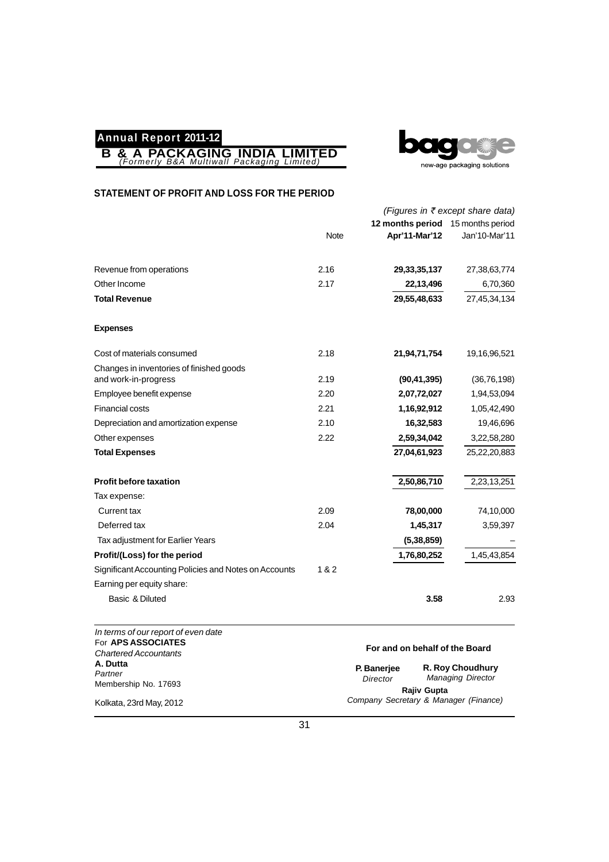



#### **STATEMENT OF PROFIT AND LOSS FOR THE PERIOD**

|                                                       |             | (Figures in ₹ except share data)  |               |
|-------------------------------------------------------|-------------|-----------------------------------|---------------|
|                                                       |             | 12 months period 15 months period |               |
|                                                       | <b>Note</b> | Apr'11-Mar'12                     | Jan'10-Mar'11 |
| Revenue from operations                               | 2.16        | 29, 33, 35, 137                   | 27,38,63,774  |
| Other Income                                          | 2.17        | 22,13,496                         | 6,70,360      |
| <b>Total Revenue</b>                                  |             | 29,55,48,633                      | 27,45,34,134  |
| <b>Expenses</b>                                       |             |                                   |               |
| Cost of materials consumed                            | 2.18        | 21,94,71,754                      | 19,16,96,521  |
| Changes in inventories of finished goods              |             |                                   |               |
| and work-in-progress                                  | 2.19        | (90, 41, 395)                     | (36, 76, 198) |
| Employee benefit expense                              | 2.20        | 2,07,72,027                       | 1,94,53,094   |
| <b>Financial costs</b>                                | 2.21        | 1,16,92,912                       | 1,05,42,490   |
| Depreciation and amortization expense                 | 2.10        | 16,32,583                         | 19,46,696     |
| Other expenses                                        | 2.22        | 2,59,34,042                       | 3,22,58,280   |
| <b>Total Expenses</b>                                 |             | 27,04,61,923                      | 25,22,20,883  |
| <b>Profit before taxation</b>                         |             | 2,50,86,710                       | 2,23,13,251   |
| Tax expense:                                          |             |                                   |               |
| Current tax                                           | 2.09        | 78,00,000                         | 74,10,000     |
| Deferred tax                                          | 2.04        | 1,45,317                          | 3,59,397      |
| Tax adjustment for Earlier Years                      |             | (5, 38, 859)                      |               |
| Profit/(Loss) for the period                          |             | 1,76,80,252                       | 1,45,43,854   |
| Significant Accounting Policies and Notes on Accounts | 1&2         |                                   |               |
| Earning per equity share:                             |             |                                   |               |
| Basic & Diluted                                       |             | 3.58                              | 2.93          |

| In terms of our report of even date<br>For APS ASSOCIATES |             | For and on behalf of the Board        |  |
|-----------------------------------------------------------|-------------|---------------------------------------|--|
| <b>Chartered Accountants</b>                              |             |                                       |  |
| A. Dutta                                                  | P. Banerjee | <b>R. Roy Choudhury</b>               |  |
| Partner                                                   | Director    | <b>Managing Director</b>              |  |
| Membership No. 17693                                      | Rajiv Gupta |                                       |  |
| Kolkata, 23rd May, 2012                                   |             | Company Secretary & Manager (Finance) |  |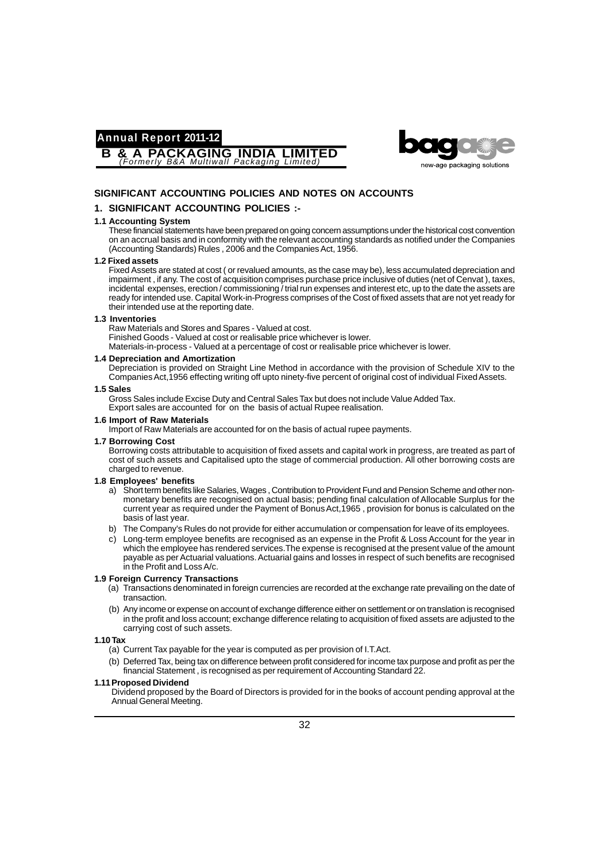**B & A PACKAGING INDIA LIMITED** *(Formerly B&A Multiwall Packaging Limited)*



#### **SIGNIFICANT ACCOUNTING POLICIES AND NOTES ON ACCOUNTS**

#### **1. SIGNIFICANT ACCOUNTING POLICIES :-**

#### **1.1 Accounting System**

These financial statements have been prepared on going concern assumptions under the historical cost convention on an accrual basis and in conformity with the relevant accounting standards as notified under the Companies (Accounting Standards) Rules , 2006 and the Companies Act, 1956.

#### **1.2 Fixed assets**

Fixed Assets are stated at cost ( or revalued amounts, as the case may be), less accumulated depreciation and impairment , if any. The cost of acquisition comprises purchase price inclusive of duties (net of Cenvat ), taxes, incidental expenses, erection / commissioning / trial run expenses and interest etc, up to the date the assets are ready for intended use. Capital Work-in-Progress comprises of the Cost of fixed assets that are not yet ready for their intended use at the reporting date.

#### **1.3 Inventories**

Raw Materials and Stores and Spares - Valued at cost. Finished Goods - Valued at cost or realisable price whichever is lower.

Materials-in-process - Valued at a percentage of cost or realisable price whichever is lower.

#### **1.4 Depreciation and Amortization**

Depreciation is provided on Straight Line Method in accordance with the provision of Schedule XIV to the Companies Act,1956 effecting writing off upto ninety-five percent of original cost of individual Fixed Assets.

#### **1.5 Sales**

Gross Sales include Excise Duty and Central Sales Tax but does not include Value Added Tax. Export sales are accounted for on the basis of actual Rupee realisation.

#### **1.6 Import of Raw Materials**

Import of Raw Materials are accounted for on the basis of actual rupee payments.

#### **1.7 Borrowing Cost**

Borrowing costs attributable to acquisition of fixed assets and capital work in progress, are treated as part of cost of such assets and Capitalised upto the stage of commercial production. All other borrowing costs are charged to revenue.

#### **1.8 Employees' benefits**

- a) Short term benefits like Salaries, Wages , Contribution to Provident Fund and Pension Scheme and other nonmonetary benefits are recognised on actual basis; pending final calculation of Allocable Surplus for the current year as required under the Payment of Bonus Act,1965 , provision for bonus is calculated on the basis of last year.
- b) The Company's Rules do not provide for either accumulation or compensation for leave of its employees.
- c) Long-term employee benefits are recognised as an expense in the Profit & Loss Account for the year in which the employee has rendered services.The expense is recognised at the present value of the amount payable as per Actuarial valuations. Actuarial gains and losses in respect of such benefits are recognised in the Profit and Loss A/c.

#### **1.9 Foreign Currency Transactions**

- (a) Transactions denominated in foreign currencies are recorded at the exchange rate prevailing on the date of transaction.
- (b) Any income or expense on account of exchange difference either on settlement or on translation is recognised in the profit and loss account; exchange difference relating to acquisition of fixed assets are adjusted to the carrying cost of such assets.

#### **1.10 Tax**

- (a) Current Tax payable for the year is computed as per provision of I.T.Act.
- (b) Deferred Tax, being tax on difference between profit considered for income tax purpose and profit as per the financial Statement , is recognised as per requirement of Accounting Standard 22.

#### **1.11Proposed Dividend**

Dividend proposed by the Board of Directors is provided for in the books of account pending approval at the Annual General Meeting.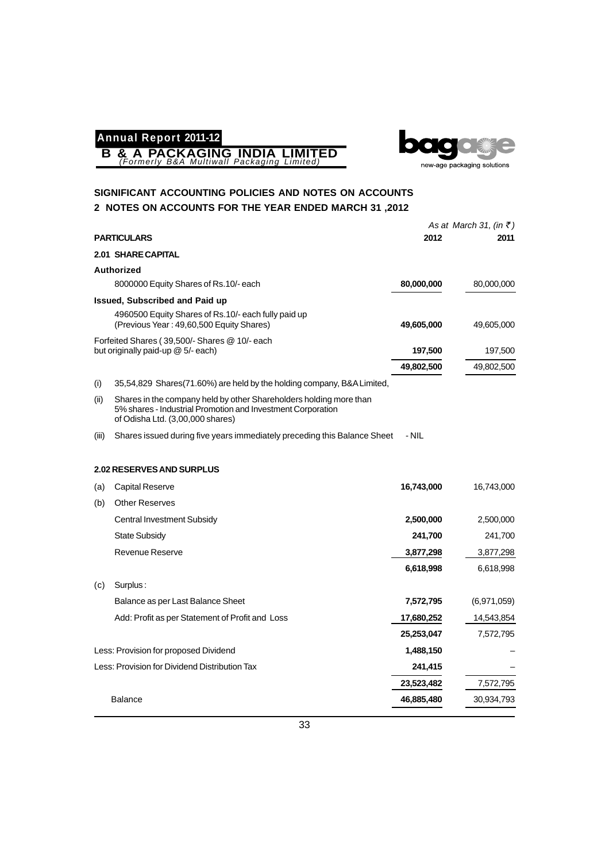**B & A PACKAGING INDIA LIMITED** *(Formerly B&A Multiwall Packaging Limited)*



## **SIGNIFICANT ACCOUNTING POLICIES AND NOTES ON ACCOUNTS 2 NOTES ON ACCOUNTS FOR THE YEAR ENDED MARCH 31 ,2012**

|                                                                                                                                                                               |            | As at March 31, (in $\bar{z}$ ) |
|-------------------------------------------------------------------------------------------------------------------------------------------------------------------------------|------------|---------------------------------|
| <b>PARTICULARS</b>                                                                                                                                                            | 2012       | 2011                            |
| <b>2.01 SHARE CAPITAL</b>                                                                                                                                                     |            |                                 |
| <b>Authorized</b>                                                                                                                                                             |            |                                 |
| 8000000 Equity Shares of Rs.10/- each                                                                                                                                         | 80,000,000 | 80,000,000                      |
| Issued, Subscribed and Paid up                                                                                                                                                |            |                                 |
| 4960500 Equity Shares of Rs.10/- each fully paid up<br>(Previous Year: 49,60,500 Equity Shares)                                                                               | 49,605,000 | 49,605,000                      |
| Forfeited Shares (39,500/- Shares @ 10/- each                                                                                                                                 |            |                                 |
| but originally paid-up @ 5/- each)                                                                                                                                            | 197,500    | 197,500                         |
|                                                                                                                                                                               | 49,802,500 | 49,802,500                      |
| (i)<br>35,54,829 Shares(71.60%) are held by the holding company, B&A Limited,                                                                                                 |            |                                 |
| Shares in the company held by other Shareholders holding more than<br>(ii)<br>5% shares - Industrial Promotion and Investment Corporation<br>of Odisha Ltd. (3,00,000 shares) |            |                                 |
| Shares issued during five years immediately preceding this Balance Sheet<br>(iii)                                                                                             | - NIL      |                                 |
| <b>2.02 RESERVES AND SURPLUS</b>                                                                                                                                              |            |                                 |
| Capital Reserve<br>(a)                                                                                                                                                        | 16,743,000 | 16,743,000                      |
| <b>Other Reserves</b><br>(b)                                                                                                                                                  |            |                                 |
| <b>Central Investment Subsidy</b>                                                                                                                                             | 2,500,000  | 2,500,000                       |
| State Subsidy                                                                                                                                                                 | 241,700    | 241,700                         |
| <b>Revenue Reserve</b>                                                                                                                                                        | 3,877,298  | 3,877,298                       |
|                                                                                                                                                                               | 6,618,998  | 6,618,998                       |
| Surplus:<br>(c)                                                                                                                                                               |            |                                 |
| Balance as per Last Balance Sheet                                                                                                                                             | 7,572,795  | (6,971,059)                     |
| Add: Profit as per Statement of Profit and Loss                                                                                                                               | 17,680,252 | 14,543,854                      |
|                                                                                                                                                                               | 25,253,047 | 7,572,795                       |
| Less: Provision for proposed Dividend                                                                                                                                         | 1,488,150  |                                 |
| Less: Provision for Dividend Distribution Tax                                                                                                                                 | 241,415    |                                 |
|                                                                                                                                                                               | 23,523,482 | 7,572,795                       |
| <b>Balance</b>                                                                                                                                                                | 46,885,480 | 30,934,793                      |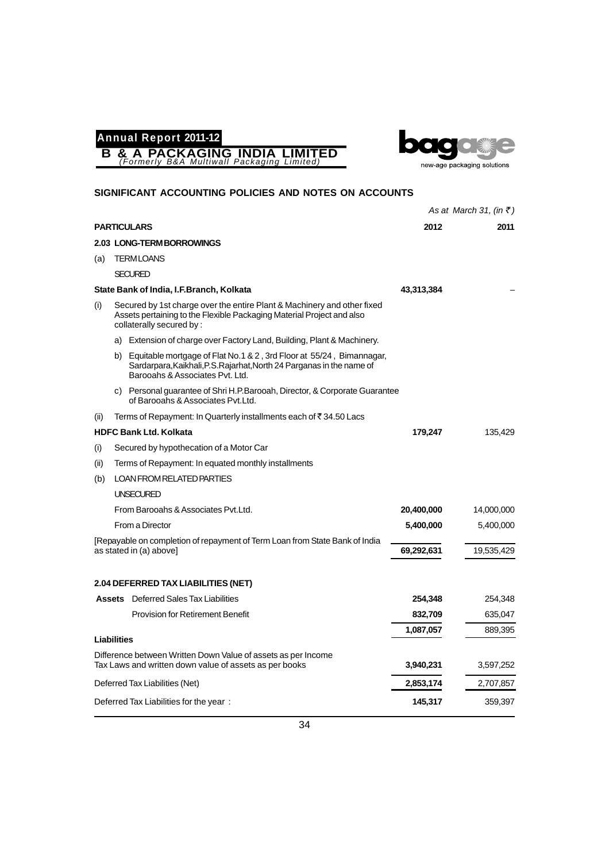



|      |                                                                                                                                                                                     |            | As at March 31, (in $\bar{z}$ ) |
|------|-------------------------------------------------------------------------------------------------------------------------------------------------------------------------------------|------------|---------------------------------|
|      | <b>PARTICULARS</b>                                                                                                                                                                  | 2012       | 2011                            |
|      | 2.03 LONG-TERM BORROWINGS                                                                                                                                                           |            |                                 |
| (a)  | <b>TERMLOANS</b>                                                                                                                                                                    |            |                                 |
|      | <b>SECURED</b>                                                                                                                                                                      |            |                                 |
|      | State Bank of India, I.F.Branch, Kolkata                                                                                                                                            | 43,313,384 |                                 |
| (i)  | Secured by 1st charge over the entire Plant & Machinery and other fixed<br>Assets pertaining to the Flexible Packaging Material Project and also<br>collaterally secured by:        |            |                                 |
|      | Extension of charge over Factory Land, Building, Plant & Machinery.<br>a)                                                                                                           |            |                                 |
|      | b) Equitable mortgage of Flat No.1 & 2, 3rd Floor at 55/24, Bimannagar,<br>Sardarpara, Kaikhali, P.S. Rajarhat, North 24 Parganas in the name of<br>Barooahs & Associates Pyt. Ltd. |            |                                 |
|      | c) Personal guarantee of Shri H.P.Barooah, Director, & Corporate Guarantee<br>of Barooahs & Associates Pvt.Ltd.                                                                     |            |                                 |
| (ii) | Terms of Repayment: In Quarterly installments each of ₹34.50 Lacs                                                                                                                   |            |                                 |
|      | <b>HDFC Bank Ltd. Kolkata</b>                                                                                                                                                       | 179,247    | 135,429                         |
| (i)  | Secured by hypothecation of a Motor Car                                                                                                                                             |            |                                 |
| (ii) | Terms of Repayment: In equated monthly installments                                                                                                                                 |            |                                 |
| (b)  | LOAN FROM RELATED PARTIES                                                                                                                                                           |            |                                 |
|      | <b>UNSECURED</b>                                                                                                                                                                    |            |                                 |
|      | From Barooahs & Associates Pyt. Ltd.                                                                                                                                                | 20,400,000 | 14,000,000                      |
|      | From a Director                                                                                                                                                                     | 5,400,000  | 5,400,000                       |
|      | [Repayable on completion of repayment of Term Loan from State Bank of India<br>as stated in (a) above]                                                                              | 69,292,631 | 19,535,429                      |
|      |                                                                                                                                                                                     |            |                                 |
|      | 2.04 DEFERRED TAX LIABILITIES (NET)                                                                                                                                                 |            |                                 |
|      | <b>Assets</b> Deferred Sales Tax Liabilities                                                                                                                                        | 254,348    | 254,348                         |
|      | <b>Provision for Retirement Benefit</b>                                                                                                                                             | 832,709    | 635,047                         |
|      |                                                                                                                                                                                     | 1,087,057  | 889,395                         |
|      | <b>Liabilities</b>                                                                                                                                                                  |            |                                 |
|      | Difference between Written Down Value of assets as per Income<br>Tax Laws and written down value of assets as per books                                                             | 3,940,231  | 3,597,252                       |
|      | Deferred Tax Liabilities (Net)                                                                                                                                                      | 2,853,174  | 2,707,857                       |
|      | Deferred Tax Liabilities for the year:                                                                                                                                              | 145,317    | 359,397                         |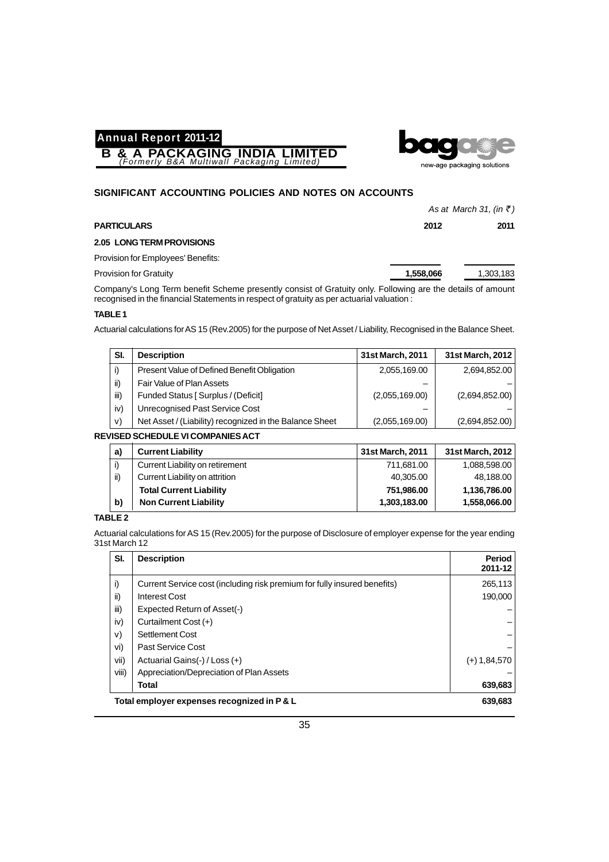



#### **SIGNIFICANT ACCOUNTING POLICIES AND NOTES ON ACCOUNTS**

|                                                                                                           |           | As at March 31, (in $\bar{z}$ ) |  |
|-----------------------------------------------------------------------------------------------------------|-----------|---------------------------------|--|
| <b>PARTICULARS</b>                                                                                        | 2012      | 2011                            |  |
| 2.05 LONG TERM PROVISIONS                                                                                 |           |                                 |  |
| Provision for Employees' Benefits:                                                                        |           |                                 |  |
| <b>Provision for Gratuity</b>                                                                             | 1,558,066 | 1,303,183                       |  |
| Company's Long Torm bonofit Cohomo prosently consist of Crotuity only Eollewing are the details of amount |           |                                 |  |

Company's Long Term benefit Scheme presently consist of Gratuity only. Following are the details of amount recognised in the financial Statements in respect of gratuity as per actuarial valuation :

#### **TABLE 1**

Actuarial calculations for AS 15 (Rev.2005) for the purpose of Net Asset / Liability, Recognised in the Balance Sheet.

| SI.  | <b>Description</b>                                      | 31st March, 2011 | 31st March, 2012 |
|------|---------------------------------------------------------|------------------|------------------|
|      | Present Value of Defined Benefit Obligation             | 2,055,169.00     | 2,694,852.00     |
| ii)  | Fair Value of Plan Assets                               |                  |                  |
| iii) | Funded Status [ Surplus / (Deficit]                     | (2,055,169.00)   | (2,694,852.00)   |
| iv)  | Unrecognised Past Service Cost                          |                  |                  |
| V)   | Net Asset / (Liability) recognized in the Balance Sheet | (2.055, 169.00)  | (2,694,852.00)   |

#### **REVISED SCHEDULE VI COMPANIES ACT**

| a)  | <b>Current Liability</b>        | 31st March, 2011 | 31st March, 2012 |
|-----|---------------------------------|------------------|------------------|
|     | Current Liability on retirement | 711,681.00       | 1,088,598.00     |
| ii) | Current Liability on attrition  | 40,305.00        | 48,188.00        |
|     | <b>Total Current Liability</b>  | 751,986.00       | 1,136,786.00     |
| b)  | <b>Non Current Liability</b>    | 1,303,183.00     | 1,558,066.00     |

#### **TABLE 2**

Actuarial calculations for AS 15 (Rev.2005) for the purpose of Disclosure of employer expense for the year ending 31st March 12

| SI.   | <b>Description</b>                                                       | Period<br>2011-12 |
|-------|--------------------------------------------------------------------------|-------------------|
| i)    | Current Service cost (including risk premium for fully insured benefits) | 265,113           |
| ii)   | Interest Cost                                                            | 190.000           |
| iii)  | Expected Return of Asset(-)                                              |                   |
| iv)   | Curtailment Cost (+)                                                     |                   |
| V)    | Settlement Cost                                                          |                   |
| vi)   | Past Service Cost                                                        |                   |
| vii)  | Actuarial Gains(-) / Loss (+)                                            | $(+)$ 1,84,570    |
| viii) | Appreciation/Depreciation of Plan Assets                                 |                   |
|       | Total                                                                    | 639,683           |
|       | Total employer expenses recognized in P & L                              | 639.683           |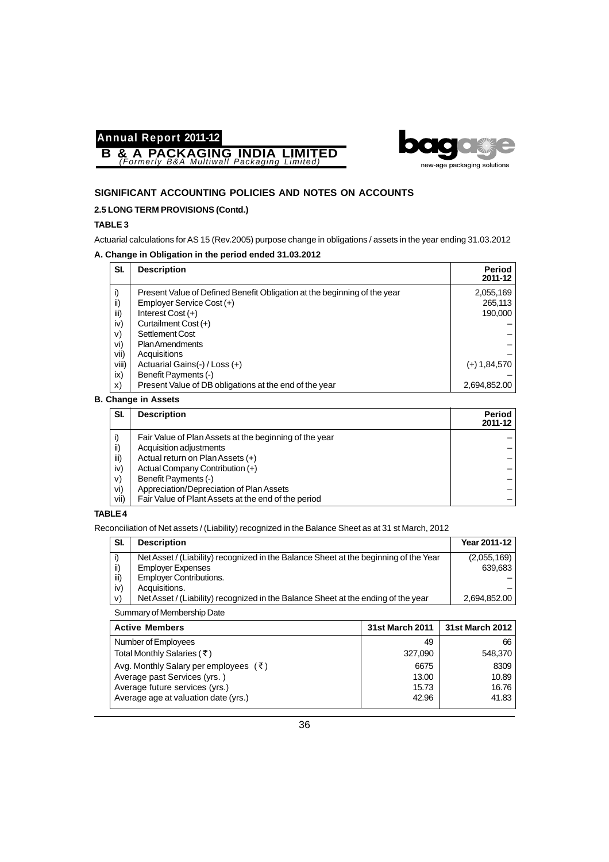



### **SIGNIFICANT ACCOUNTING POLICIES AND NOTES ON ACCOUNTS**

#### **2.5 LONG TERM PROVISIONS (Contd.)**

#### **TABLE 3**

Actuarial calculations for AS 15 (Rev.2005) purpose change in obligations / assets in the year ending 31.03.2012

#### **A. Change in Obligation in the period ended 31.03.2012**

| SI.   | <b>Description</b>                                                       | Period<br>2011-12 |
|-------|--------------------------------------------------------------------------|-------------------|
| i)    | Present Value of Defined Benefit Obligation at the beginning of the year | 2,055,169         |
| ii)   | Employer Service Cost (+)                                                | 265,113           |
| iii)  | Interest Cost $(+)$                                                      | 190,000           |
| iv)   | Curtailment Cost (+)                                                     |                   |
| V)    | Settlement Cost                                                          |                   |
| vi)   | <b>Plan Amendments</b>                                                   |                   |
| vii)  | Acquisitions                                                             |                   |
| viii) | Actuarial Gains(-) / Loss (+)                                            | $(+)$ 1,84,570    |
| ix)   | Benefit Payments (-)                                                     |                   |
| X)    | Present Value of DB obligations at the end of the year                   | 2,694,852.00      |

#### **B. Change in Assets**

| SI.  | <b>Description</b>                                     | Period<br>2011-12 |
|------|--------------------------------------------------------|-------------------|
|      | Fair Value of Plan Assets at the beginning of the year |                   |
| ii)  | Acquisition adjustments                                |                   |
| iii) | Actual return on Plan Assets (+)                       |                   |
| iv)  | Actual Company Contribution (+)                        |                   |
| V)   | Benefit Payments (-)                                   |                   |
| vi)  | Appreciation/Depreciation of Plan Assets               |                   |
| vii) | Fair Value of Plant Assets at the end of the period    |                   |

### **TABLE 4**

Reconciliation of Net assets / (Liability) recognized in the Balance Sheet as at 31 st March, 2012

| SI.  | <b>Description</b>                                                                   | Year 2011-12 |
|------|--------------------------------------------------------------------------------------|--------------|
|      | Net Asset / (Liability) recognized in the Balance Sheet at the beginning of the Year | (2.055, 169) |
| ii)  | <b>Employer Expenses</b>                                                             | 639.683      |
| iii) | <b>Employer Contributions.</b>                                                       |              |
| iv)  | Acquisitions.                                                                        |              |
| V)   | Net Asset / (Liability) recognized in the Balance Sheet at the ending of the year    | 2,694,852.00 |

Summary of Membership Date

| <b>Active Members</b>                            | <b>31st March 2011</b> | 31st March 2012 |
|--------------------------------------------------|------------------------|-----------------|
| Number of Employees                              | 49                     | 66              |
| Total Monthly Salaries (₹)                       | 327,090                | 548,370         |
| Avg. Monthly Salary per employees $(\bar{\tau})$ | 6675                   | 8309            |
| Average past Services (yrs.)                     | 13.00                  | 10.89           |
| Average future services (yrs.)                   | 15.73                  | 16.76           |
| Average age at valuation date (yrs.)             | 42.96                  | 41.83           |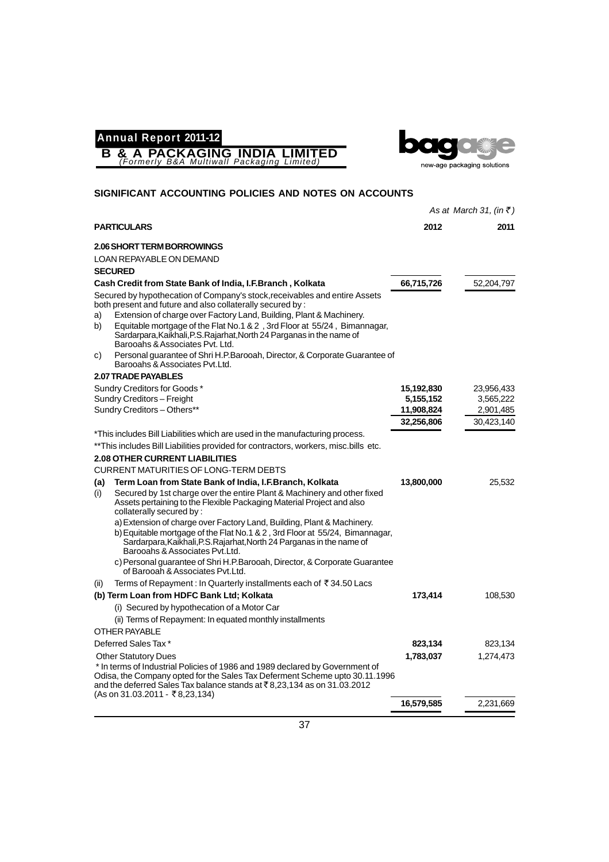



|                                                                                                                                                                                                                                                                                                                                                                                                                     |            | As at March 31, (in $\bar{z}$ ) |
|---------------------------------------------------------------------------------------------------------------------------------------------------------------------------------------------------------------------------------------------------------------------------------------------------------------------------------------------------------------------------------------------------------------------|------------|---------------------------------|
| <b>PARTICULARS</b>                                                                                                                                                                                                                                                                                                                                                                                                  | 2012       | 2011                            |
| <b>2.06 SHORT TERM BORROWINGS</b>                                                                                                                                                                                                                                                                                                                                                                                   |            |                                 |
| LOAN REPAYABLE ON DEMAND                                                                                                                                                                                                                                                                                                                                                                                            |            |                                 |
| <b>SECURED</b>                                                                                                                                                                                                                                                                                                                                                                                                      |            |                                 |
| Cash Credit from State Bank of India, I.F.Branch, Kolkata                                                                                                                                                                                                                                                                                                                                                           | 66,715,726 | 52,204,797                      |
| Secured by hypothecation of Company's stock, receivables and entire Assets<br>both present and future and also collaterally secured by :<br>Extension of charge over Factory Land, Building, Plant & Machinery.<br>a)<br>Equitable mortgage of the Flat No.1 & 2, 3rd Floor at 55/24, Bimannagar,<br>b)<br>Sardarpara, Kaikhali, P.S. Rajarhat, North 24 Parganas in the name of<br>Barooahs & Associates Pvt. Ltd. |            |                                 |
| Personal guarantee of Shri H.P.Barooah, Director, & Corporate Guarantee of<br>C)<br>Barooahs & Associates Pyt.Ltd.                                                                                                                                                                                                                                                                                                  |            |                                 |
| <b>2.07 TRADE PAYABLES</b>                                                                                                                                                                                                                                                                                                                                                                                          |            |                                 |
| Sundry Creditors for Goods*                                                                                                                                                                                                                                                                                                                                                                                         | 15,192,830 | 23,956,433                      |
| Sundry Creditors - Freight                                                                                                                                                                                                                                                                                                                                                                                          | 5,155,152  | 3,565,222                       |
| Sundry Creditors - Others**                                                                                                                                                                                                                                                                                                                                                                                         | 11,908,824 | 2,901,485                       |
|                                                                                                                                                                                                                                                                                                                                                                                                                     | 32,256,806 | 30,423,140                      |
| *This includes Bill Liabilities which are used in the manufacturing process.                                                                                                                                                                                                                                                                                                                                        |            |                                 |
| ** This includes Bill Liabilities provided for contractors, workers, misc.bills etc.                                                                                                                                                                                                                                                                                                                                |            |                                 |
| <b>2.08 OTHER CURRENT LIABILITIES</b>                                                                                                                                                                                                                                                                                                                                                                               |            |                                 |
| <b>CURRENT MATURITIES OF LONG-TERM DEBTS</b>                                                                                                                                                                                                                                                                                                                                                                        |            |                                 |
| Term Loan from State Bank of India, I.F.Branch, Kolkata<br>(a)                                                                                                                                                                                                                                                                                                                                                      | 13,800,000 | 25,532                          |
| Secured by 1st charge over the entire Plant & Machinery and other fixed<br>(i)<br>Assets pertaining to the Flexible Packaging Material Project and also<br>collaterally secured by:                                                                                                                                                                                                                                 |            |                                 |
| a) Extension of charge over Factory Land, Building, Plant & Machinery.                                                                                                                                                                                                                                                                                                                                              |            |                                 |
| b) Equitable mortgage of the Flat No.1 & 2, 3rd Floor at 55/24, Bimannagar,<br>Sardarpara, Kaikhali, P.S. Rajarhat, North 24 Parganas in the name of<br>Barooahs & Associates Pvt.Ltd.                                                                                                                                                                                                                              |            |                                 |
| c) Personal guarantee of Shri H.P.Barooah, Director, & Corporate Guarantee<br>of Barooah & Associates Pyt.Ltd.                                                                                                                                                                                                                                                                                                      |            |                                 |
| Terms of Repayment : In Quarterly installments each of ₹34.50 Lacs<br>(ii)                                                                                                                                                                                                                                                                                                                                          |            |                                 |
| (b) Term Loan from HDFC Bank Ltd; Kolkata                                                                                                                                                                                                                                                                                                                                                                           | 173,414    | 108,530                         |
| (i) Secured by hypothecation of a Motor Car                                                                                                                                                                                                                                                                                                                                                                         |            |                                 |
| (ii) Terms of Repayment: In equated monthly installments                                                                                                                                                                                                                                                                                                                                                            |            |                                 |
| <b>OTHER PAYABLE</b>                                                                                                                                                                                                                                                                                                                                                                                                |            |                                 |
| Deferred Sales Tax*                                                                                                                                                                                                                                                                                                                                                                                                 | 823,134    | 823,134                         |
| <b>Other Statutory Dues</b>                                                                                                                                                                                                                                                                                                                                                                                         | 1,783,037  | 1,274,473                       |
| * In terms of Industrial Policies of 1986 and 1989 declared by Government of<br>Odisa, the Company opted for the Sales Tax Deferment Scheme upto 30.11.1996<br>and the deferred Sales Tax balance stands at $\bar{\tau}$ 8,23,134 as on 31.03.2012                                                                                                                                                                  |            |                                 |
| (As on 31.03.2011 - ₹8,23,134)                                                                                                                                                                                                                                                                                                                                                                                      | 16,579,585 | 2,231,669                       |
|                                                                                                                                                                                                                                                                                                                                                                                                                     |            |                                 |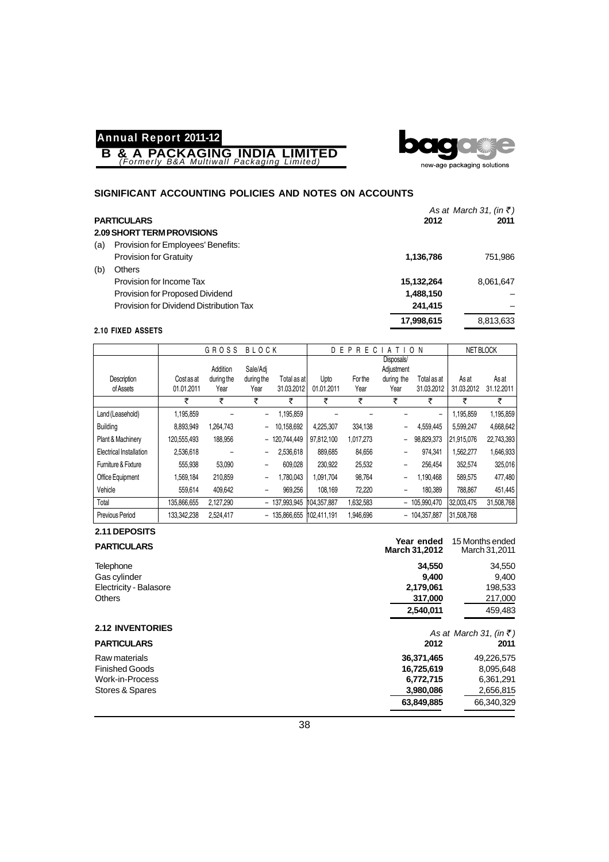**B & A PACKAGING INDIA LIMITED** *(Formerly B&A Multiwall Packaging Limited)*



#### **SIGNIFICANT ACCOUNTING POLICIES AND NOTES ON ACCOUNTS**

| <b>PARTICULARS</b> |  |
|--------------------|--|
|--------------------|--|

|     |                                         |            | As at March 31, (in $\bar{z}$ ) |
|-----|-----------------------------------------|------------|---------------------------------|
|     | <b>PARTICULARS</b>                      | 2012       | 2011                            |
|     | 2.09 SHORT TERM PROVISIONS              |            |                                 |
| (a) | Provision for Employees' Benefits:      |            |                                 |
|     | <b>Provision for Gratuity</b>           | 1,136,786  | 751,986                         |
| (b) | Others                                  |            |                                 |
|     | Provision for Income Tax                | 15,132,264 | 8.061.647                       |
|     | Provision for Proposed Dividend         | 1,488,150  |                                 |
|     | Provision for Dividend Distribution Tax | 241,415    |                                 |
|     |                                         | 17,998,615 | 8,813,633                       |
|     | 2.10 FIXED ASSETS                       |            |                                 |

#### G R O S S B L O C K | D E P R E C I A T I O N | NETBLOCK Disposals/ Addition Sale/Adj | Adjustment<br>during the during the Total as at Upto For the during the Description | Cost as at during the during the Total as at Upto For the during the Total as at As at As at As at<br>
of Assets | 01.01.2011 Year Year 31.03.2012 01.01.2011 Year Year 31.03.2012 31.03.2012 31.03.2012 of Assets 01.01.2011 Year Year 31.03.2012 01.01.2011 Year Year 31.03.2012 31.03.2012 31.12.2011 र र र र र र र र Land (Leasehold) 1,195,859 – – 1,195,859 – – – – 1,195,859 1,195,859 Building 8,893,949 1,264,743 – 10,158,692 4,225,307 334,138 – 4,559,445 5,599,247 4,668,642 Plant & Machinery | 120,555,493 188,956 - 120,744,449 97,812,100 1,017,273 - 98,829,373 21,915,076 22,743,393 Electrical Installation 2,536,618 – – 2,536,618 889,685 84,656 – 974,341 1,562,277 1,646,933 Furniture & Fixture 555,938 53,090 – 609,028 230,922 25,532 – 256,454 352,574 325,016 Office Equipment | 1,569,184 210,859 - 1,780,043 1,091,704 98,764 - 1,190,468 589,575 477,480 Vehicle 559,614 409,642 – 969,256 108,169 72,220 – 180,389 788,867 451,445 Total 135,866,655 2,127,290 – 137,993,945 104,357,887 1,632,583 – 105,990,470 32,003,475 31,508,768 Previous Period 133,342,238 2,524,417 – 135,866,655 102,411,191 1,946,696 – 104,357,887 31,508,768

| 2.11 DEPOSITS      |  |
|--------------------|--|
| <b>PARTICULARS</b> |  |
| Telephone          |  |

| 34,550<br>Telephone<br>Gas cylinder<br>9.400<br>2,179,061<br>Electricity - Balasore |            |
|-------------------------------------------------------------------------------------|------------|
|                                                                                     | 34,550     |
|                                                                                     | 9,400      |
|                                                                                     | 198,533    |
| <b>Others</b><br>317,000                                                            | 217,000    |
| 2,540,011                                                                           | 459,483    |
| <b>2.12 INVENTORIES</b><br>As at March 31, (in $\bar{z}$ )                          |            |
| <b>PARTICULARS</b><br>2012                                                          | 2011       |
| Raw materials<br>36,371,465                                                         | 49,226,575 |
| <b>Finished Goods</b><br>16,725,619                                                 | 8,095,648  |
| Work-in-Process<br>6,772,715                                                        | 6,361,291  |
| Stores & Spares<br>3,980,086                                                        | 2,656,815  |
| 63,849,885                                                                          | 66,340,329 |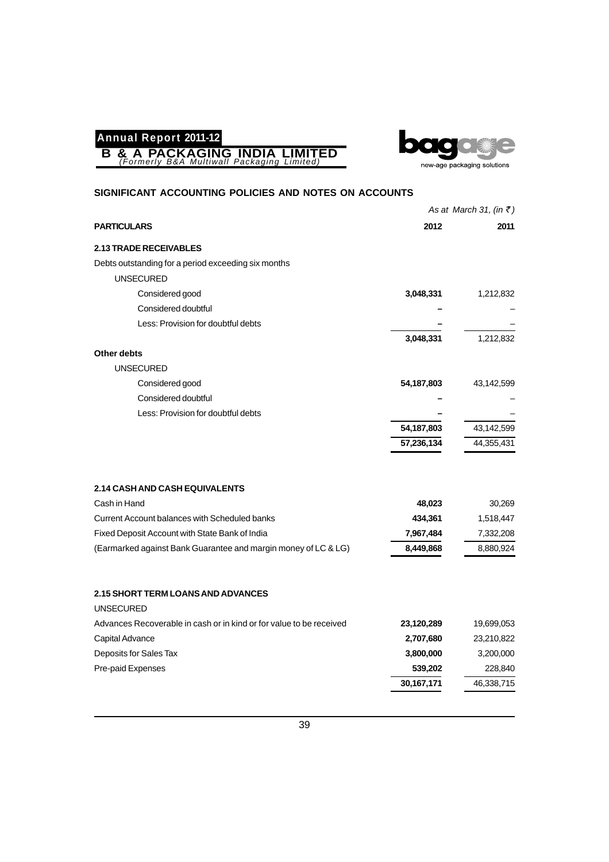**B & A PACKAGING INDIA LIMITED** *(Formerly B&A Multiwall Packaging Limited)*



|                                                                     |              | As at March 31, (in $\overline{\xi}$ ) |
|---------------------------------------------------------------------|--------------|----------------------------------------|
| <b>PARTICULARS</b>                                                  | 2012         | 2011                                   |
| <b>2.13 TRADE RECEIVABLES</b>                                       |              |                                        |
| Debts outstanding for a period exceeding six months                 |              |                                        |
| <b>UNSECURED</b>                                                    |              |                                        |
| Considered good                                                     | 3,048,331    | 1,212,832                              |
| Considered doubtful                                                 |              |                                        |
| Less: Provision for doubtful debts                                  |              |                                        |
|                                                                     | 3,048,331    | 1,212,832                              |
| Other debts                                                         |              |                                        |
| <b>UNSECURED</b>                                                    |              |                                        |
| Considered good                                                     | 54, 187, 803 | 43,142,599                             |
| Considered doubtful                                                 |              |                                        |
| Less: Provision for doubtful debts                                  |              |                                        |
|                                                                     | 54, 187, 803 | 43,142,599                             |
|                                                                     | 57,236,134   | 44,355,431                             |
|                                                                     |              |                                        |
| <b>2.14 CASH AND CASH EQUIVALENTS</b>                               |              |                                        |
| Cash in Hand                                                        | 48,023       | 30,269                                 |
| Current Account balances with Scheduled banks                       | 434,361      | 1,518,447                              |
| Fixed Deposit Account with State Bank of India                      | 7,967,484    | 7,332,208                              |
| (Earmarked against Bank Guarantee and margin money of LC & LG)      | 8,449,868    | 8,880,924                              |
|                                                                     |              |                                        |
| <b>2.15 SHORT TERM LOANS AND ADVANCES</b>                           |              |                                        |
| <b>UNSECURED</b>                                                    |              |                                        |
| Advances Recoverable in cash or in kind or for value to be received | 23,120,289   | 19,699,053                             |
| Capital Advance                                                     | 2,707,680    | 23,210,822                             |
| Deposits for Sales Tax                                              | 3,800,000    | 3,200,000                              |
| Pre-paid Expenses                                                   | 539,202      | 228,840                                |
|                                                                     | 30,167,171   | 46,338,715                             |
|                                                                     |              |                                        |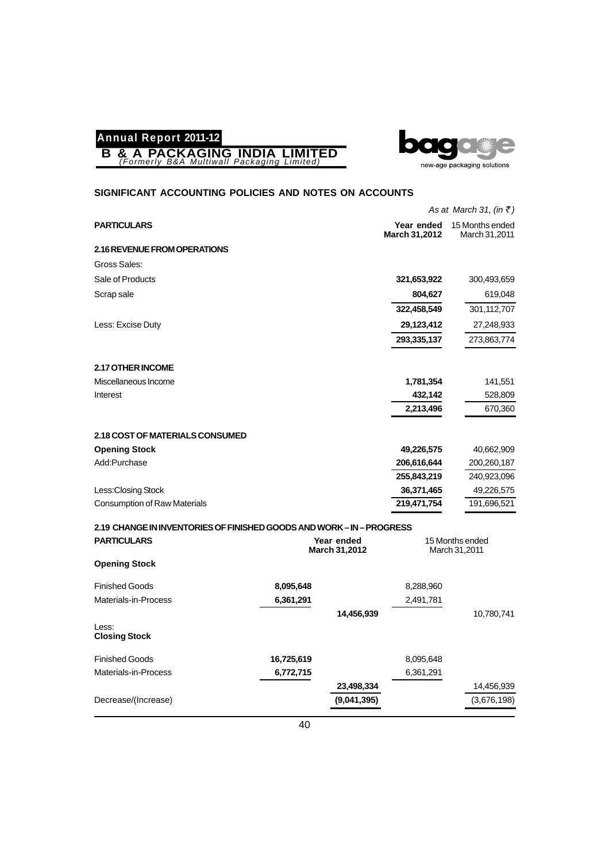



|                                                                   |            |                             |                                    | As at March 31, (in $\bar{z}$ )  |
|-------------------------------------------------------------------|------------|-----------------------------|------------------------------------|----------------------------------|
| <b>PARTICULARS</b>                                                |            |                             | Year ended<br><b>March 31,2012</b> | 15 Months ended<br>March 31,2011 |
| 2.16 REVENUE FROM OPERATIONS                                      |            |                             |                                    |                                  |
| Gross Sales:                                                      |            |                             |                                    |                                  |
| Sale of Products                                                  |            |                             | 321,653,922                        | 300,493,659                      |
| Scrap sale                                                        |            |                             | 804,627                            | 619,048                          |
|                                                                   |            |                             | 322,458,549                        | 301,112,707                      |
| Less: Excise Duty                                                 |            |                             | 29,123,412                         | 27,248,933                       |
|                                                                   |            |                             | 293,335,137                        | 273,863,774                      |
| 2.17 OTHER INCOME                                                 |            |                             |                                    |                                  |
| Miscellaneous Income                                              |            |                             | 1,781,354                          | 141,551                          |
| Interest                                                          |            |                             | 432,142                            | 528,809                          |
|                                                                   |            |                             | 2,213,496                          | 670,360                          |
| 2.18 COST OF MATERIALS CONSUMED                                   |            |                             |                                    |                                  |
| <b>Opening Stock</b>                                              |            |                             | 49,226,575                         | 40,662,909                       |
| Add:Purchase                                                      |            |                             | 206,616,644                        | 200,260,187                      |
|                                                                   |            |                             | 255,843,219                        | 240,923,096                      |
| Less: Closing Stock                                               |            |                             | 36,371,465                         | 49,226,575                       |
| <b>Consumption of Raw Materials</b>                               |            |                             | 219,471,754                        | 191,696,521                      |
| 2.19 CHANGE IN INVENTORIES OF FINISHED GOODS AND WORK-IN-PROGRESS |            |                             |                                    |                                  |
| <b>PARTICULARS</b>                                                |            | Year ended<br>March 31,2012 |                                    | 15 Months ended<br>March 31,2011 |
| <b>Opening Stock</b>                                              |            |                             |                                    |                                  |
| <b>Finished Goods</b>                                             | 8,095,648  |                             | 8,288,960                          |                                  |
| Materials-in-Process                                              | 6,361,291  |                             | 2,491,781                          |                                  |
|                                                                   |            | 14,456,939                  |                                    | 10,780,741                       |
| Less:<br><b>Closing Stock</b>                                     |            |                             |                                    |                                  |
| <b>Finished Goods</b>                                             | 16,725,619 |                             | 8,095,648                          |                                  |
| Materials-in-Process                                              | 6,772,715  |                             | 6,361,291                          |                                  |
|                                                                   |            | 23,498,334                  |                                    | 14,456,939                       |
| Decrease/(Increase)                                               |            | (9,041,395)                 |                                    | (3,676,198)                      |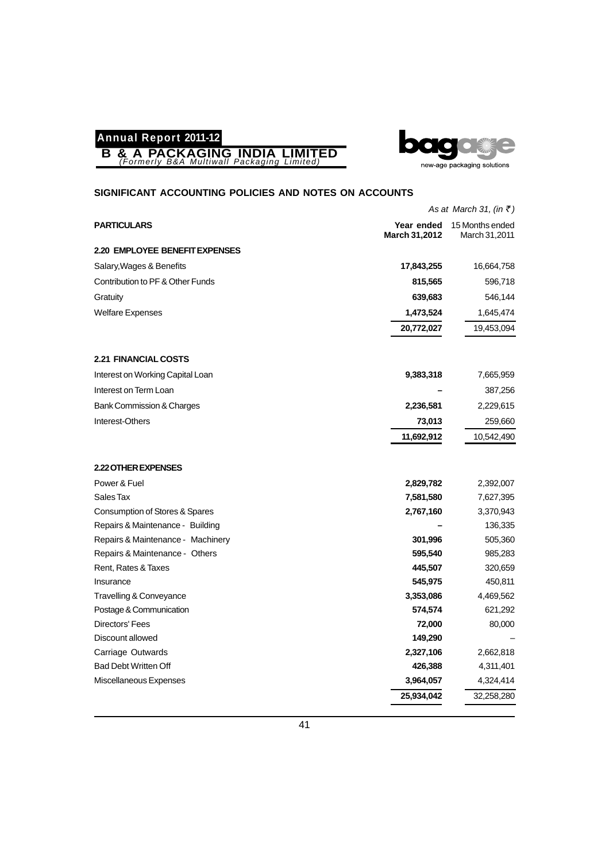



|                                      |               | As at March 31, (in $\bar{z}$ )             |
|--------------------------------------|---------------|---------------------------------------------|
| <b>PARTICULARS</b>                   | March 31,2012 | Year ended 15 Months ended<br>March 31,2011 |
| 2.20 EMPLOYEE BENEFIT EXPENSES       |               |                                             |
| Salary, Wages & Benefits             | 17,843,255    | 16,664,758                                  |
| Contribution to PF & Other Funds     | 815,565       | 596,718                                     |
| Gratuity                             | 639,683       | 546,144                                     |
| <b>Welfare Expenses</b>              | 1,473,524     | 1,645,474                                   |
|                                      | 20,772,027    | 19,453,094                                  |
| <b>2.21 FINANCIAL COSTS</b>          |               |                                             |
| Interest on Working Capital Loan     | 9,383,318     | 7,665,959                                   |
| Interest on Term Loan                |               | 387,256                                     |
| <b>Bank Commission &amp; Charges</b> | 2,236,581     | 2,229,615                                   |
| Interest-Others                      | 73,013        | 259,660                                     |
|                                      | 11,692,912    | 10,542,490                                  |
| 2.22 OTHER EXPENSES                  |               |                                             |
| Power & Fuel                         | 2,829,782     | 2,392,007                                   |
| Sales Tax                            | 7,581,580     | 7,627,395                                   |
| Consumption of Stores & Spares       | 2,767,160     | 3,370,943                                   |
| Repairs & Maintenance - Building     |               | 136,335                                     |
| Repairs & Maintenance - Machinery    | 301,996       | 505,360                                     |
| Repairs & Maintenance - Others       | 595,540       | 985,283                                     |
| Rent, Rates & Taxes                  | 445,507       | 320,659                                     |
| Insurance                            | 545,975       | 450,811                                     |
| Travelling & Conveyance              | 3,353,086     | 4,469,562                                   |
| Postage & Communication              | 574,574       | 621,292                                     |
| <b>Directors' Fees</b>               | 72,000        | 80,000                                      |
| Discount allowed                     | 149,290       |                                             |
| Carriage Outwards                    | 2,327,106     | 2,662,818                                   |
| <b>Bad Debt Written Off</b>          | 426,388       | 4,311,401                                   |
| Miscellaneous Expenses               | 3,964,057     | 4,324,414                                   |
|                                      | 25,934,042    | 32,258,280                                  |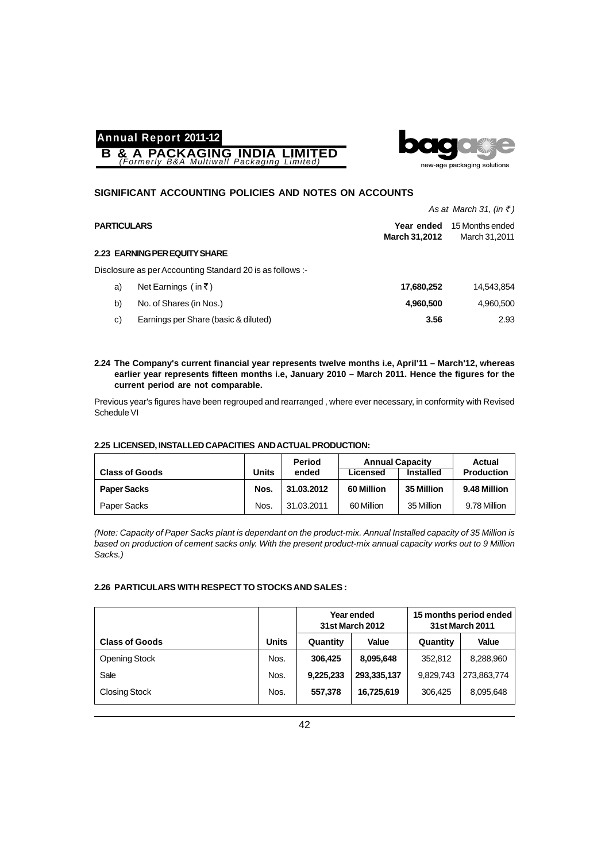



#### **SIGNIFICANT ACCOUNTING POLICIES AND NOTES ON ACCOUNTS**

|                                                           |                                    | As at March 31, (in $\bar{z}$ )  |
|-----------------------------------------------------------|------------------------------------|----------------------------------|
| <b>PARTICULARS</b>                                        | Year ended<br><b>March 31,2012</b> | 15 Months ended<br>March 31,2011 |
| 2.23 EARNING PER EQUITY SHARE                             |                                    |                                  |
| Disclosure as per Accounting Standard 20 is as follows :- |                                    |                                  |
| Net Earnings (in ₹)<br>a)                                 | 17,680,252                         | 14,543,854                       |
| b)<br>No. of Shares (in Nos.)                             | 4,960,500                          | 4,960,500                        |
| Earnings per Share (basic & diluted)<br>c)                | 3.56                               | 2.93                             |

#### **2.24 The Company's current financial year represents twelve months i.e, April'11 – March'12, whereas earlier year represents fifteen months i.e, January 2010 – March 2011. Hence the figures for the current period are not comparable.**

Previous year's figures have been regrouped and rearranged , where ever necessary, in conformity with Revised Schedule VI

#### **2.25 LICENSED, INSTALLED CAPACITIES AND ACTUAL PRODUCTION:**

|                       |       | Period     | <b>Annual Capacity</b> |                  | Actual            |
|-----------------------|-------|------------|------------------------|------------------|-------------------|
| <b>Class of Goods</b> | Units | ended      | Licensed               | <b>Installed</b> | <b>Production</b> |
| <b>Paper Sacks</b>    | Nos.  | 31.03.2012 | 60 Million             | 35 Million       | 9.48 Million      |
| Paper Sacks           | Nos.  | 31.03.2011 | 60 Million             | 35 Million       | 9.78 Million      |

*(Note: Capacity of Paper Sacks plant is dependant on the product-mix. Annual Installed capacity of 35 Million is based on production of cement sacks only. With the present product-mix annual capacity works out to 9 Million Sacks.)*

#### **2.26 PARTICULARS WITH RESPECT TO STOCKS AND SALES :**

|                       |              | Year ended<br><b>31st March 2012</b> |             |           | 15 months period ended<br><b>31st March 2011</b> |
|-----------------------|--------------|--------------------------------------|-------------|-----------|--------------------------------------------------|
| <b>Class of Goods</b> | <b>Units</b> | Quantity                             | Value       | Quantity  | Value                                            |
| Opening Stock         | Nos.         | 306.425                              | 8,095,648   | 352.812   | 8,288,960                                        |
| Sale                  | Nos.         | 9,225,233                            | 293,335,137 | 9,829,743 | 273,863,774                                      |
| <b>Closing Stock</b>  | Nos.         | 557,378                              | 16,725,619  | 306.425   | 8,095,648                                        |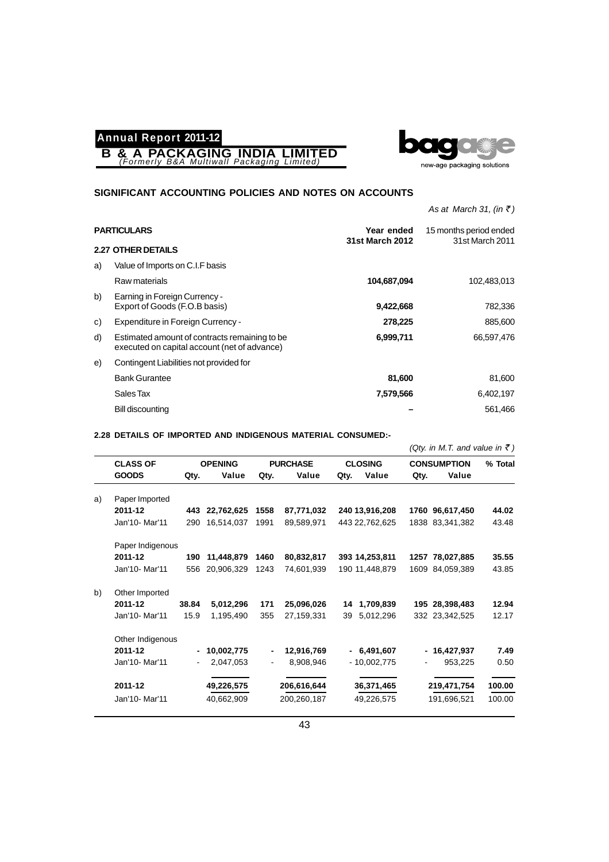**B & A PACKAGING INDIA LIMITED** *(Formerly B&A Multiwall Packaging Limited)*



#### **SIGNIFICANT ACCOUNTING POLICIES AND NOTES ON ACCOUNTS**

*As at March 31, (in* ₹)

| <b>2.27 OTHER DETAILS</b><br>Value of Imports on C.I.F basis<br>a)<br>Raw materials<br>104,687,094<br>b)<br>Earning in Foreign Currency -<br>Export of Goods (F.O.B basis)<br>9,422,668<br>Expenditure in Foreign Currency -<br>278,225<br>C)<br>d)<br>Estimated amount of contracts remaining to be<br>6,999,711 | <b>PARTICULARS</b> |  | Year ended<br><b>31st March 2012</b> | 15 months period ended<br>31st March 2011 |
|-------------------------------------------------------------------------------------------------------------------------------------------------------------------------------------------------------------------------------------------------------------------------------------------------------------------|--------------------|--|--------------------------------------|-------------------------------------------|
|                                                                                                                                                                                                                                                                                                                   |                    |  |                                      |                                           |
|                                                                                                                                                                                                                                                                                                                   |                    |  |                                      |                                           |
|                                                                                                                                                                                                                                                                                                                   |                    |  |                                      | 102,483,013                               |
|                                                                                                                                                                                                                                                                                                                   |                    |  |                                      | 782,336                                   |
|                                                                                                                                                                                                                                                                                                                   |                    |  |                                      | 885,600                                   |
| executed on capital account (net of advance)                                                                                                                                                                                                                                                                      |                    |  |                                      | 66,597,476                                |
| Contingent Liabilities not provided for<br>e)                                                                                                                                                                                                                                                                     |                    |  |                                      |                                           |
| <b>Bank Gurantee</b><br>81,600                                                                                                                                                                                                                                                                                    |                    |  |                                      | 81,600                                    |
| Sales Tax<br>7,579,566                                                                                                                                                                                                                                                                                            |                    |  |                                      | 6,402,197                                 |
| Bill discounting                                                                                                                                                                                                                                                                                                  |                    |  |                                      | 561,466                                   |

#### **2.28 DETAILS OF IMPORTED AND INDIGENOUS MATERIAL CONSUMED:-**

|    |                  |                              |                |      |                 |      |                |      | (Qty. in M.T. and value in ₹) |         |
|----|------------------|------------------------------|----------------|------|-----------------|------|----------------|------|-------------------------------|---------|
|    | <b>CLASS OF</b>  |                              | <b>OPENING</b> |      | <b>PURCHASE</b> |      | <b>CLOSING</b> |      | <b>CONSUMPTION</b>            | % Total |
|    | <b>GOODS</b>     | Qty.                         | Value          | Qty. | Value           | Qty. | Value          | Qty. | Value                         |         |
| a) | Paper Imported   |                              |                |      |                 |      |                |      |                               |         |
|    | 2011-12          |                              | 443 22,762,625 | 1558 | 87,771,032      |      | 240 13,916,208 |      | 1760 96,617,450               | 44.02   |
|    | Jan'10- Mar'11   | 290                          | 16,514,037     | 1991 | 89,589,971      |      | 443 22,762,625 |      | 1838 83,341,382               | 43.48   |
|    | Paper Indigenous |                              |                |      |                 |      |                |      |                               |         |
|    | 2011-12          | 190                          | 11,448,879     | 1460 | 80,832,817      |      | 393 14,253,811 |      | 1257 78,027,885               | 35.55   |
|    | Jan'10- Mar'11   | 556                          | 20.906.329     | 1243 | 74.601.939      |      | 190 11.448.879 |      | 1609 84,059,389               | 43.85   |
| b) | Other Imported   |                              |                |      |                 |      |                |      |                               |         |
|    | 2011-12          | 38.84                        | 5,012,296      | 171  | 25,096,026      | 14   | 1,709,839      |      | 195 28,398,483                | 12.94   |
|    | Jan'10- Mar'11   | 15.9                         | 1,195,490      | 355  | 27,159,331      | 39   | 5,012,296      |      | 332 23,342,525                | 12.17   |
|    | Other Indigenous |                              |                |      |                 |      |                |      |                               |         |
|    | 2011-12          | $\qquad \qquad \blacksquare$ | 10,002,775     |      | 12,916,769      |      | $-6,491,607$   |      | $-16,427,937$                 | 7.49    |
|    | Jan'10- Mar'11   | $\blacksquare$               | 2,047,053      |      | 8,908,946       |      | $-10,002,775$  |      | 953,225                       | 0.50    |
|    | 2011-12          |                              | 49,226,575     |      | 206,616,644     |      | 36,371,465     |      | 219,471,754                   | 100.00  |
|    | Jan'10- Mar'11   |                              | 40,662,909     |      | 200,260,187     |      | 49,226,575     |      | 191,696,521                   | 100.00  |
|    |                  |                              |                |      |                 |      |                |      |                               |         |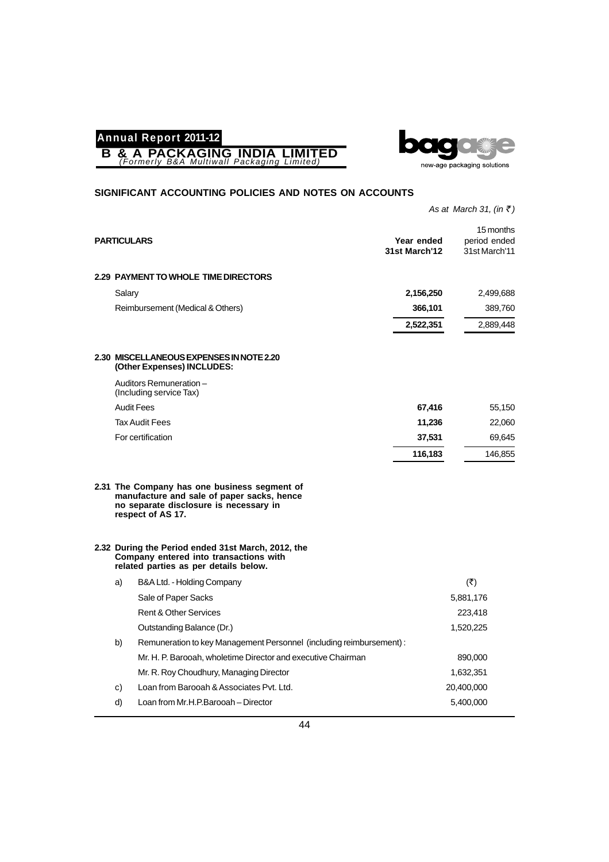



#### **SIGNIFICANT ACCOUNTING POLICIES AND NOTES ON ACCOUNTS**

*As at March 31, (in* ₹)

| <b>PARTICULARS</b> |                                                                                                                                                           | Year ended<br>31st March'12 | 15 months<br>period ended<br>31st March'11 |
|--------------------|-----------------------------------------------------------------------------------------------------------------------------------------------------------|-----------------------------|--------------------------------------------|
|                    | <b>2.29 PAYMENT TO WHOLE TIME DIRECTORS</b>                                                                                                               |                             |                                            |
| Salary             |                                                                                                                                                           | 2,156,250                   | 2,499,688                                  |
|                    | Reimbursement (Medical & Others)                                                                                                                          | 366,101                     | 389,760                                    |
|                    |                                                                                                                                                           | 2,522,351                   | 2,889,448                                  |
|                    | 2.30 MISCELLANEOUS EXPENSES IN NOTE 2.20<br>(Other Expenses) INCLUDES:                                                                                    |                             |                                            |
|                    | Auditors Remuneration-<br>(Including service Tax)                                                                                                         |                             |                                            |
|                    | <b>Audit Fees</b>                                                                                                                                         | 67,416                      | 55,150                                     |
|                    | <b>Tax Audit Fees</b>                                                                                                                                     | 11,236                      | 22,060                                     |
|                    | For certification                                                                                                                                         | 37,531                      | 69,645                                     |
|                    |                                                                                                                                                           | 116,183                     | 146,855                                    |
|                    | 2.31 The Company has one business segment of<br>manufacture and sale of paper sacks, hence<br>no separate disclosure is necessary in<br>respect of AS 17. |                             |                                            |
|                    | 2.32 During the Period ended 31st March, 2012, the<br>Company entered into transactions with<br>related parties as per details below.                     |                             |                                            |
| a)                 | B&A Ltd. - Holding Company                                                                                                                                |                             | $(\overline{\mathbf{z}})$                  |
|                    | Sale of Paper Sacks                                                                                                                                       |                             | 5,881,176                                  |
|                    | <b>Rent &amp; Other Services</b>                                                                                                                          |                             | 223,418                                    |
|                    | Outstanding Balance (Dr.)                                                                                                                                 |                             | 1,520,225                                  |
| b)                 | Remuneration to key Management Personnel (including reimbursement) :                                                                                      |                             |                                            |
|                    | Mr. H. P. Barooah, wholetime Director and executive Chairman                                                                                              |                             | 890,000                                    |
|                    | Mr. R. Roy Choudhury, Managing Director                                                                                                                   |                             | 1,632,351                                  |
| C)                 | Loan from Barooah & Associates Pvt. Ltd.                                                                                                                  |                             | 20,400,000                                 |
| d)                 | Loan from Mr.H.P.Barooah - Director                                                                                                                       |                             | 5,400,000                                  |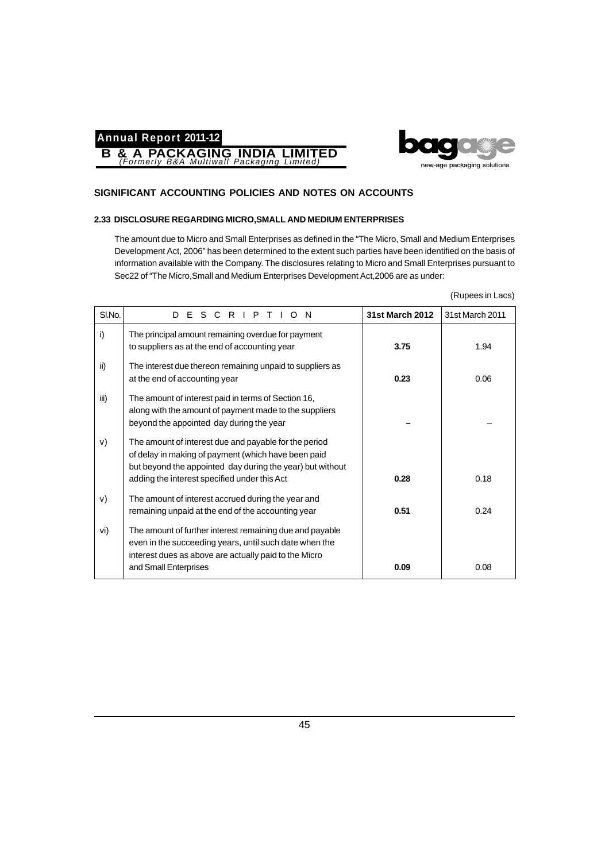



#### **SIGNIFICANT ACCOUNTING POLICIES AND NOTES ON ACCOUNTS**

#### **2.33 DISCLOSURE REGARDING MICRO,SMALL AND MEDIUM ENTERPRISES**

The amount due to Micro and Small Enterprises as defined in the "The Micro, Small and Medium Enterprises Development Act, 2006" has been determined to the extent such parties have been identified on the basis of information available with the Company. The disclosures relating to Micro and Small Enterprises pursuant to Sec22 of "The Micro,Small and Medium Enterprises Development Act,2006 are as under:

| (Rupees in Lacs) |  |
|------------------|--|
|                  |  |

| SI.No. | D E S C R I P T I O N                                                                                                                                                                                                     | <b>31st March 2012</b> | 31st March 2011 |
|--------|---------------------------------------------------------------------------------------------------------------------------------------------------------------------------------------------------------------------------|------------------------|-----------------|
| i)     | The principal amount remaining overdue for payment<br>to suppliers as at the end of accounting year                                                                                                                       | 3.75                   | 1.94            |
| ii)    | The interest due thereon remaining unpaid to suppliers as<br>at the end of accounting year                                                                                                                                | 0.23                   | 0.06            |
| iii)   | The amount of interest paid in terms of Section 16,<br>along with the amount of payment made to the suppliers<br>beyond the appointed day during the year                                                                 |                        |                 |
| V)     | The amount of interest due and payable for the period<br>of delay in making of payment (which have been paid<br>but beyond the appointed day during the year) but without<br>adding the interest specified under this Act | 0.28                   | 0.18            |
| V)     | The amount of interest accrued during the year and<br>remaining unpaid at the end of the accounting year                                                                                                                  | 0.51                   | 0.24            |
| vi)    | The amount of further interest remaining due and payable<br>even in the succeeding years, until such date when the<br>interest dues as above are actually paid to the Micro                                               |                        |                 |
|        | and Small Enterprises                                                                                                                                                                                                     | 0.09                   | 0.08            |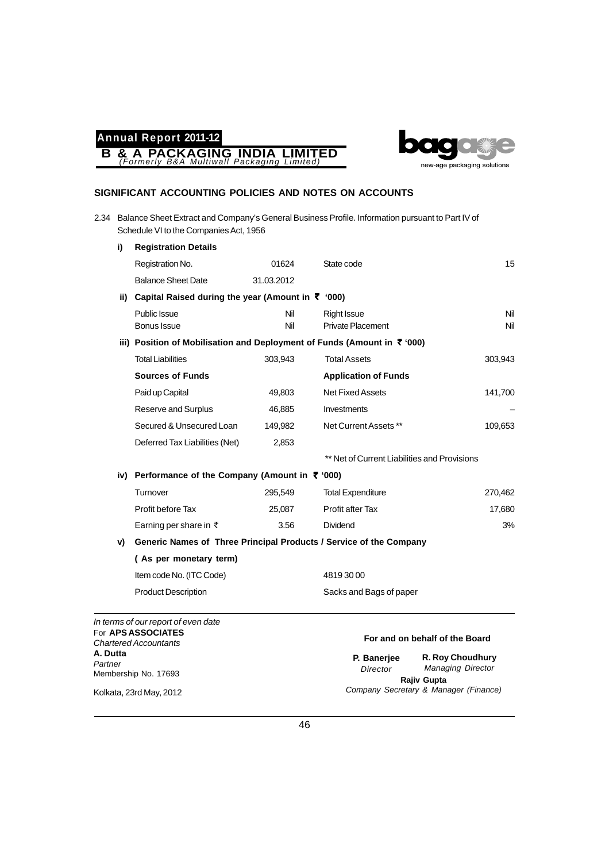**B & A PACKAGING INDIA LIMITED** *(Formerly B&A Multiwall Packaging Limited)*



#### **SIGNIFICANT ACCOUNTING POLICIES AND NOTES ON ACCOUNTS**

2.34 Balance Sheet Extract and Company's General Business Profile. Information pursuant to Part IV of Schedule VI to the Companies Act, 1956

| i)  | <b>Registration Details</b>                                                         |            |                                              |         |
|-----|-------------------------------------------------------------------------------------|------------|----------------------------------------------|---------|
|     | Registration No.                                                                    | 01624      | State code                                   | 15      |
|     | <b>Balance Sheet Date</b>                                                           | 31.03.2012 |                                              |         |
| ii) | Capital Raised during the year (Amount in ₹ '000)                                   |            |                                              |         |
|     | Public Issue                                                                        | Nil        | <b>Right Issue</b>                           | Nil     |
|     | Bonus Issue                                                                         | Nil        | <b>Private Placement</b>                     | Nil     |
|     | iii) Position of Mobilisation and Deployment of Funds (Amount in $\bar{\tau}$ '000) |            |                                              |         |
|     | <b>Total Liabilities</b>                                                            | 303,943    | <b>Total Assets</b>                          | 303,943 |
|     | <b>Sources of Funds</b>                                                             |            | <b>Application of Funds</b>                  |         |
|     | Paid up Capital                                                                     | 49,803     | <b>Net Fixed Assets</b>                      | 141,700 |
|     | Reserve and Surplus                                                                 | 46,885     | Investments                                  |         |
|     | Secured & Unsecured Loan                                                            | 149,982    | Net Current Assets **                        | 109,653 |
|     | Deferred Tax Liabilities (Net)                                                      | 2,853      |                                              |         |
|     |                                                                                     |            | ** Net of Current Liabilities and Provisions |         |
|     | iv) Performance of the Company (Amount in $\bar{\tau}$ '000)                        |            |                                              |         |
|     | Turnover                                                                            | 295,549    | <b>Total Expenditure</b>                     | 270,462 |
|     | Profit before Tax                                                                   | 25,087     | Profit after Tax                             | 17,680  |
|     | Earning per share in $\bar{\tau}$                                                   | 3.56       | Dividend                                     | 3%      |
| V)  | Generic Names of Three Principal Products / Service of the Company                  |            |                                              |         |
|     | (As per monetary term)                                                              |            |                                              |         |
|     | Item code No. (ITC Code)                                                            |            | 48193000                                     |         |
|     | <b>Product Description</b>                                                          |            | Sacks and Bags of paper                      |         |
|     |                                                                                     |            |                                              |         |

*In terms of our report of even date* For **APS ASSOCIATES** *Chartered Accountants* **A. Dutta** *Partner* Membership No. 17693

#### **For and on behalf of the Board**

**R. Roy Choudhury** *Managing Director* **Rajiv Gupta** *Company Secretary & Manager (Finance)* **P. Banerjee** *Director*

Kolkata, 23rd May, 2012